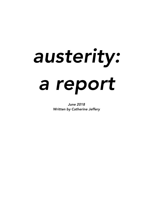# *austerity: a report*

*June 2018 Written by Catherine Jeffery*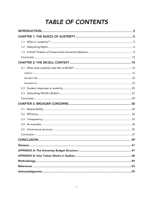# **TABLE OF CONTENTS**

| 1.1 |  |  |
|-----|--|--|
|     |  |  |
|     |  |  |
|     |  |  |
|     |  |  |
|     |  |  |
|     |  |  |
|     |  |  |
|     |  |  |
| 2.3 |  |  |
|     |  |  |
|     |  |  |
|     |  |  |
| 3.1 |  |  |
| 3.2 |  |  |
| 3.3 |  |  |
| 3.4 |  |  |
|     |  |  |
|     |  |  |
|     |  |  |
|     |  |  |
|     |  |  |
|     |  |  |
|     |  |  |
|     |  |  |
|     |  |  |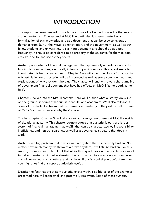# *INTRODUCTION*

This report has been created from a huge archive of collective knowledge that exists around austerity in Québec and at McGill in particular. It's been created as a formalization of this knowledge and as a document that can be used to leverage demands from SSMU, the McGill administration, and the government, as well as our fellow students and universities. It is a living document and should be updated frequently. It should be considered to be property of the students, for them to edit, criticize, add to, and use as they see fit.

Austerity is a system of financial management that systemically underfunds and cuts funding to communities, specifically in terms of public services. This report seeks to investigate this from a few angles. In Chapter 1 we will cover the "basics" of austerity. A broad definition of austerity will be introduced as well as some common myths and explanations of why they don't hold up. The chapter will end with a very short timeline of government financial decisions that have had effects on McGill (some good, some bad).

Chapter 2 delves into the McGill context. Here we'll outline what austerity looks like on the ground, in terms of labour, student life, and academics. We'll also talk about some of the student activism that has surrounded austerity in the past as well as some of McGill's common lies and why they're false.

The last chapter, Chapter 3, will take a look at more systemic issues at McGill, outside of situational austerity. This chapter acknowledges that austerity is part of a larger system of financial management at McGill that can be characterized by irresponsibility, inefficiency, and non-transparency, as well as a governance structure that doesn't work.

Austerity is a big problem, but it exists within a system that is inherently broken. No matter how much money we throw at a broken system, it will still be broken. For this reason, it's important to highlight that while this report deals with austerity, we cannot talk about austerity without addressing the fact that capitalism as a system can never and will never work on an ethical and just level. If this is a belief you don't share, then you might not find this report particularly useful.

Despite the fact that the system austerity exists within is so big, a lot of the examples presented here will seem small and potentially irrelevant. Some of these austerity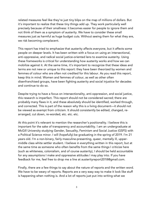related measures feel like they're just tiny blips on the map of millions of dollars. But it's important to realize that these tiny things add up. They work particularly well precisely because of their smallness: it becomes easier for people to ignore them and not think of them as a symptom of austerity. We have to consider these small measures just as harmful as huge budget cuts. Without seeing them for what they are, we risk becoming complacent.

This report has tried to emphasize that austerity affects everyone, but it affects some people on deeper levels. It has been written with a focus on using an intersectional, anti-oppressive, and radical social justice-oriented lens to examine austerity. Using these frameworks is critical for understanding how austerity works and how we can mobilize against it. At the same time, it's important to recognize that these ideas and terms are not new or unique to this report: they have been theorized by women and femmes of colour who are often not credited for this labour. As you read this report, keep this in mind. Women and femmes of colour, as well as other often disenfranchised groups, have been fighting austerity and social injustice for decades and continue to do so.

Despite trying to have a focus on intersectionality, anti-oppression, and social justice, this research is imperfect. This report should not be considered sacred; there are probably many flaws in it, and these absolutely should be identified, worked through, and corrected. This is part of the reason why this is a living document—it should not be viewed as exempt from criticism. It should consistently be edited, changed, rearranged, cut down, re-worded, etc. etc. etc.

At this point it's relevant to mention the researcher's positionality. I believe this is important for the sake of transparency and accountability. I am an undergraduate at McGill University studying Gender, Sexuality, Feminism and Social Justice (GSFS) with a Political Science minor. I will (hopefully) be graduating in the spring of 2019. I'm 21 years old. I'm a non-binary, fairly masculine-presenting, queer, mentally ill, uppermiddle class white settler student. I believe in everything written in this report, but at the same time as someone who often benefits from the same things I criticize here (such as whiteness, colonialism, and of course austerity), I should be held accountable for any assumptions I make and oppressive attitudes I may play into. If you have feedback for me, feel free to drop me a line at austerityreport2018@gmail.com.

Finally, there are a few things to say about the nature of reports and the written word. We have to be weary of reports. Reports are a very easy way to make it look like stuff is happening when nothing is. And a lot of reports just put into writing what we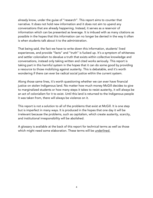already know, under the guise of "research". This report aims to counter that narrative. It does not hold new information and it does not aim to upend any conversations that are already happening. Instead, it serves as a reservoir of information which can be presented as leverage. It is imbued with as many citations as possible in the hopes that this information can no longer be denied in the way it often is when students talk about it to the administration.

That being said, the fact we have to write down this information, students' lived experiences, and provide "facts" and "truth" is fucked up. It's a symptom of whiteness and settler colonialism to devalue a truth that exists within collective knowledge and conversations, instead only taking written and cited works seriously. This report is taking part in this harmful system in the hopes that it can do some good by providing a resource to those mobilizing against austerity. This is debatable, and it's worth wondering if there can ever be radical social justice within the current system.

Along those same lines, it's worth questioning whether we can ever have financial justice on stolen Indigenous land. No matter how much money McGill decides to give to marginalized students or how many steps it takes to resist austerity, it will always be an act of colonialism for it to exist. Until this land is returned to the Indigenous people it was taken from, there will always be violence on it.

This report is not a solution to all of the problems that exist at McGill. It is one step but is imperfect in many ways. It is produced in the hopes that one day it will be irrelevant because the problems, such as capitalism, which create austerity, scarcity, and institutional irresponsibility will be abolished.

A glossary is available at the back of this report for technical terms as well as those which might need some elaboration. These terms will be underlined.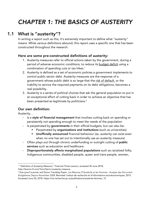# *CHAPTER 1: THE BASICS OF AUSTERITY*

# 1.1 What is "austerity"?

In writing a report such as this, it's extremely important to define what "austerity" means. While various definitions abound, this report uses a specific one that has been constructed throughout the research.

### Here are some pre-constructed definitions of austerity:

- 1. Austerity measures refer to official actions taken by the government, during a period of adverse economic conditions, to reduce its budget deficit using a combination of spending cuts or tax hikes. 1
- 2. Austerity is defined as a set of economic policies a government implements to control public sector debt. Austerity measures are the response of a government whose public debt is so large that the risk of default, or the inability to service the required payments on its debt obligations, becomes a real possibility.
- 3. Austerity is a series of political choices that ask the general population to put in an exceptional effort of cutting back in order to achieve an objective that has been presented as legitimate by politicians. $^{\text{2}}$

### Our own definition:

Austerity…

- Is a style of financial management that involves cutting back on spending or persistently not spending enough to meet the needs of the population
- Is perpetrated by governments in their official budgets, but can also be:
	- **•** Perpetrated by organizations and institutions (such as universities)
	- **Unofficially announced** financial behaviour (so, austerity can exist even when no one has set out to intentionally use an austerity measure)
- Often plays out through chronic underfunding or outright cutting of public services such as education and healthcare
- Disproportionately affects marginalized populations such as racialized folks, Indigenous communities, disabled people, queer and trans people, women,

 $\overline{a}$ <sup>1</sup> "Definition of Austerity Measure," Financial Times Lexicon, accessed 30 June 2018,

http://lexicon.ft.com/Term?term=austerity-measure.<br><sup>2</sup> Eve-Lyne Couturier and Simon Tremblay-Pepin, *Les Mesures D'Austérité et les Femmes : Analyse des Document Budgétaires Depuis November 2008,* Montréal: Institut de recherche et d'informations socioéconomiques, 2015. Accessed June 30, 2018. https://iris-recherche.qc.ca/publications/austerite-femmes, 15.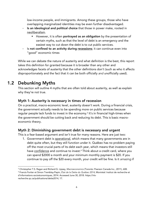low-income people, and immigrants. Among these groups, those who have overlapping marginalized identities may be even further disadvantaged.

- Is an ideological and political choice that those in power make, rooted in neoliberalism.
	- However, it is often portrayed as an obligation by the presentation of certain myths, such as that the level of debt is an emergency and the easiest way to cut down the debt is to cut public services.
- Is not confined to an activity during recessions; it can continue even into "good" economic times

While we can debate the nature of austerity and what definition is the best, this report takes this definition for granted because it is broader than any other and acknowledges facets of austerity that the other definitions don't (such as who it affects disproportionately and the fact that it can be both officially *and* unofficially used).

# 1.2 Debunking Myths

This section will outline 4 myths that are often told about austerity, as well as explain why they're not true.

### Myth 1: Austerity is necessary in times of recession

On a practical, macro-economic level, austerity doesn't work. During a financial crisis, the government actually needs to be spending more on public services because regular people lack funds to invest in the economy.<sup>3</sup> It's in financial high-times when the government should be cutting back and reducing its debt. This is basic macroeconomic theory.

### Myth 2: Diminishing government debt is necessary and urgent

This is a fear-based argument and isn't true for many reasons. Here are just two:

1. Government debt is operational, which means that many governments are in debt quite often, but they still function under it. Québec has no problem paying off the most crucial parts of its debt each year, which means that investors still have confidence and continue to invest.<sup>4</sup> Think about a credit card, where you can spend \$2000 a month and your minimum monthly payment is \$20. If you continue to pay off the \$20 every month, your credit will be fine. Is it *amazing* if

 $\overline{a}$ <sup>3</sup> Christopher T.S. Ragan and Richard G. Lipsey, Macroeconomics (Toronto: Pearson Canada Inc., 2011), 608.<br><sup>4</sup> Francis Fortier et Simon Tremblay-Pepin, État de la Dette du Québec 2014, Montréal: Institut de recherche et

d'informations socioéconomiques, 2014. Accessed June 30, 2018. https://irisrecherche.qc.ca/publications/dette2014, 17.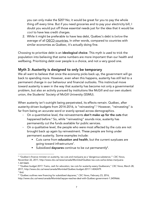you can only make the \$20? No; it would be great for you to pay the whole thing off every time. But if you need groceries and to pay your electricity bill, I doubt you would put off those essential needs just for the idea that it would be *cool* to have less credit charges.

2. While it might be preferable to have less debt, Québec's debt is *below* the average of all **OECD** countries. In other words, compared to countries with similar economies as Québec, it's actually doing fine.

Choosing to prioritize debt is an ideological choice. This myth is used to trick the population into believing that some numbers are more important than our health and wellbeing. Prioritizing debt over people is a choice, and not a very good one.

### Myth 3: Austerity is designed to only be temporary

We all want to believe that once the economy picks back up, the government will go back to spending more. However, even when this happens, austerity has still led to a permanent change in our behaviour and financial outlooks. This instinctual move toward austerity is seen in the way that austerity has become not only a governmental problem, but also an activity pursued by institutions like McGill and our own student union, the Students' Society of McGill University (SSMU).

When austerity isn't outright being perpetrated, its effects remain. Québec, after austerity-driven budgets from 2014-2016, is "reinvesting".5 However, "reinvesting" is far from being an accurate word or evenly spread across demographics.

- On a quantitative level, the reinvestments don't make up for the cuts that happened before.<sup>6</sup> So, while "reinvesting" sounds nice, austerity has permanently cut the funds available for public services.
- On a qualitative level, the people who were most affected by the cuts are not brought back up again by reinvestment. These people are living under permanent austerity. Some examples include:
	- Cuts came from education and health, but the current surpluses are going toward infrastructure7 .
	- Subsidized daycares continue to be cut permanently<sup>8</sup>.

 $\overline{a}$ <sup>5</sup> "Québec's finance minister on austerity, tax cuts and marijuana as a 'dangerous substance,'" *CBC News*, November 22, 2017, http://www.cbc.ca/news/canada/Montréal/Québec-tax-cuts-carlos-leitao-marijuana-1.4413665.

<sup>6</sup> "Québec budget 2017: Trains, cash for education, tax cuts for austerity-weary Québecers," *CBC News*, March 28, 2017, http://www.cbc.ca/news/canada/Montréal/Québec-budget-2017-1.4042479. <sup>7</sup> Ibid.

<sup>8</sup> "Québec outlines new financing for subsidized daycares," *CBC News*, February 23, 2016,

http://www.cbc.ca/news/canada/Montréal/aqcpe-reaches-deal-with-Québec-government-1.3459666.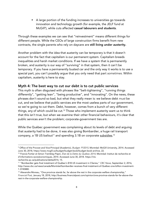■ A large portion of the funding increases to universities go towards innovation and technology growth (for example, the JELF fund at McGill<sup>9</sup>), while cuts affected **casual labourers and students**.

Through these examples we can see that "reinvestment" means different things for different people. While the CEOs of large construction firms benefit from new contracts, the single parents who rely on daycare are still living under austerity.

Another problem with the idea that austerity can be temporary is that it doesn't account for the fact that capitalism is our permanent system. Capitalism breeds inequalities and harsh market conditions. If we have a system that is permanently broken, and austerity is our way of "surviving" in that system, then it can't be temporary. If you have a permanently busted car and the only way it works is to use a special part, you can't possibly argue that you only need that part *sometimes.* Within capitalism, austerity is here to stay.

### Myth 4: The best way to cut our debt is to cut public services

This myth is often disguised with phrases like "belt-tightening", "running things differently", "getting lean", "being productive", and "innovating". On the news, these phrases don't sound so bad, but what they really mean is: we believe debt *must* be cut, and we believe that public services are the most useless parts of our government, so we're going to cut them. Debt, however, comes from a bunch of very different things, any of which could be cut.<sup>10</sup> Those who implement austerity want us to think that this isn't true, but when we examine their other financial behaviours, it's clear that public services aren't the problem; corporate-government ties are.

While the Québec government was complaining about its levels of debt and arguing that austerity had to be done, it was also giving Bombardier, a huge rail transport company, a 1B US bailout<sup>11</sup> and spending 3.1B on corporate <u>subsidies.</u><sup>12</sup>

d'informations socioéconomiques, 2014. Accessed June 30, 2018. https://irisrecherche.qc.ca/publications/dette2014, 15.

 $\overline{a}$ <sup>9</sup> Office of the Provost and Vice-Principal (Academic), *Budget: FY2015,* Montréal: McGill University, 2014. Accessed June 30, 2018, https://www.mcgill.ca/budget/budget-book/budget-book-archive, 22.<br><sup>10</sup> Francis Fortier et Simon Tremblay-Pepin, *État de la Dette du Québec 2014, Montréal: Institut de recherche et* 

<sup>11</sup> "Bombardier gets final instalment of Québec's \$1B US investment in CSeries," *CBC News,* September 2, 2016, http://www.cbc.ca/news/canada/Montréal/bombardier-receives-final-instalment-of-Québec-one-billion-investment-1.3745880.

<sup>&</sup>lt;sup>12</sup> Alexandre Moreau, "One province stands far, far above the rest in the corporate welfare championship," *Financial Post,* January 18, 2018, http://business.financialpost.com/opinion/one-province-stands-far-far-above-therest-in-the-corporate-welfare-championship.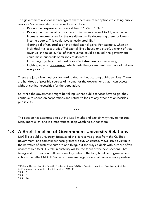The government also doesn't recognize that there are other options to cutting public services. Some ways debt can be reduced include:

- Raising the corporate tax bracket from 11.9% to 15%.<sup>13</sup>
- Raising the number of tax brackets for individuals from 4 to 11, which would increase income taxes for the wealthiest while decreasing them for lowerincome people. This could save an estimated 1B.14
- Getting rid of tax credits on individual capital gains. For example, when an individual makes a profit off of capital (like a house or a stock), a chunk of that revenue isn't taxable. If all of that revenue could be taxed, the government could make hundreds of millions of dollars.15
- Increasing royalties on natural resource extraction, such as mining.
- Fighting against **tax evasion**, which costs the government hundreds of millions every year. 16

These are just a few methods for cutting debt without cutting public services. There are hundreds of possible sources of income for the government that it can access without cutting necessities for the population.

So, while the government might be telling us that public services have to go, they continue to spend on corporations and refuse to look at any other option besides public cuts.

…

This section has attempted to outline just 4 myths and explain why they're not true. Many more exist, and it's important to keep watching out for them.

# 1.3 A Brief Timeline of Government-University Relations

McGill is a public university. Because of this, it receives grants from the Québec government, and sometimes these grants are cut. Of course, McGill isn't a victim in the narrative of austerity: cuts are one thing, but the ways it deals with cuts are often unacceptable (McGill's role in austerity will be the focus of the next section). That being said, this section outlines some key dates in the long timeline of government actions that affect McGill. Some of these are negative and others are more positive.

 $\overline{a}$ <sup>13</sup> Philippe Hurteau, Nesrine Bessaïh, Elisabeth Gibeau, *10 Billion Solutions*, Montréal: Coalition against the tarification and privatization of public services, 2015, 13.

<sup>14</sup> Ibid., 8.

<sup>15</sup> Ibid., 11.

<sup>16</sup> Ibid., 20.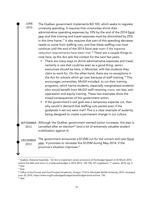JUNE

2010

The Québec government implements Bill 100, which seeks to regulate university spending. It requires that universities shrink their administrative operating expenses by 10% by the end of the 2014 fiscal year and that training and travel expenses must be diminished by 25% in this time frame.17 It also requires that part of this spending decrease needs to come from staffing cuts, and that these staffing cuts must continue until the end of the 2014 fiscal year *even if the expense reduction requirements have been met.*<sup>18</sup> There are a couple things to note here, as this Act sets the context for the next few years.

- **•** There are many ways to shrink administrative expenses and travel certainly is one that could be seen as a good thing: senior executives should be here, in Montréal, with the students they claim to work for. On the other hand, there are no exceptions in the Act for schools which go over because of staff training.<sup>19</sup> This encourages universities, McGill included, to cut their training programs, which harms students, especially marginalized students who would benefit from McGill staff receiving *more,* not less, antioppression and equity training. These two examples show the mixed consequences of this government action.
- If the government's real goal was a temporary expense cut, then why would it demand that staffing cuts persist even if the goalposts it set out were met? This is a clear example of austerity being designed to create a permanent change in our culture.

SEPTEMBER Although the Québec government wanted tuition increases, this plan is cancelled after an election<sup>20</sup> (and a lot of extremely valuable student mobilization against it). 2012

The government announces a \$125M cut for the current and next fiscal year. It promises to reinstate this \$125M during May 2014, if the province's situation improves. 21 **DECEMBER** 

2012

 $\overline{a}$ 

<sup>&</sup>lt;sup>17</sup> Québec, National Assembly. "An Act to implement certain provisions of the Budget Speech of 30 March 2010, reduce the debt and return to a balanced budget in 2013-2014." Bill 100, 39<sup>th</sup> Legislature, 1<sup>st</sup> session, 2010, pg. 9.  $18$  Ibid.

 $19$  Ibid.

<sup>20</sup> Office of the Provost and Vice-Principal (Academic), *Budget: FY2016,* Montréal: McGill University, 2015. Accessed June 30, 2018, https://www.mcgill.ca/budget/budget-book/budget-book-archive, 156.  $21$  Ibid.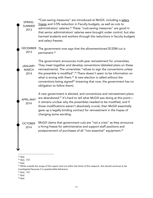"Cost-saving measures" are introduced at McGill, including a salary freeze and 3-5% reduction in Faculty budgets, as well as cuts to administrators' salaries.<sup>22</sup> These "cost-saving measures" are good in that senior administrators' salaries were brought under control, but also harmed students and workers through the reductions in faculty budgets and salary freezes. SPRING-SUMMER

The government now says that the aforementioned \$125M cut is permanent.23 DECEMBER 2013

The government announces multi-year reinvestment for universities. They meet together and develop conventions (detailed plans on these reinvestments). The universities "refuse to sign the conventions unless the preamble is modified". <sup>24</sup> There doesn't seem to be information on what is wrong with them.<sup>25</sup> A new election is called without the conventions being signed<sup>26</sup> (meaning that now, the government has no obligation to follow them). JANUARY-MARCH

> A new government is elected, and conventions and reinvestment plans are abandoned.<sup>27</sup> It's hard to tell what McGill was doing at this point it remains unclear why the preambles needed to be modified, and if those modifications weren't absolutely crucial, then McGill essentially gave up a legally binding contract for reinvestment in the hopes of changing some wording.

McGill claims that government cuts are "not a crisis" as they announce a hiring freeze for administrative and support staff positions and postponement of purchases of all "non-essential" equipment.<sup>28</sup> OCTOBER 2014

2013

2014

APRIL-MAY 2014

 $\overline{a}$  $22$  Ibid.

<sup>23</sup> Ibid., 157.

 $24$  Ibid.

<sup>&</sup>lt;sup>25</sup> While outside the scope of this report and not within the limits of this research, this should continue to be investigated because it is questionable behaviour.

<sup>26</sup> Ibid., 157.

 $27$  Ibid.

 $28$  Ibid.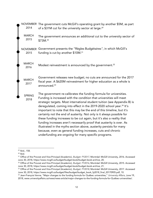NOVEMBER The government cuts McGill's operating grant by another \$5M, as part of a \$31M cut for the university sector at large.<sup>29</sup> 2014

The government announces an additional cut to the university sector of \$73M.30 **MARCH** 2015

Government presents the "Règles Budgétaires*",* in which McGill's NOVEMBER funding is cut by another \$10M.<sup>31</sup> 2015

Modest reinvestment is announced by the government.<sup>32</sup> MARCH 2016

> Government releases new budget; no cuts are announced for the 2017 fiscal year. A \$620M reinvestment for higher education as a whole is announced.<sup>33</sup>

The government re-calibrates the funding formula for universities. Funding is increased with the condition that universities will meet strategic targets. Most international student tuition (see Appendix B) is deregulated, coming into effect in the 2019-2020 school year. <sup>34</sup> It's important to note that this may be the end of this timeline, but it's certainly not the end of austerity. Not only is it always possible for these funding increases to be cut again, but it's also a reality that funding increases aren't necessarily proof that austerity is over. As illustrated in the myths section above, austerity persists for many because, even as general funding increases, cuts and chronic underfunding are ongoing for many specific programs.

**MARCH** 2017

SPRING 2018

 $\overline{a}$ <sup>29</sup> Ibid., 158.

 $30$  Ibid.

<sup>31</sup> Office of the Provost and Vice-Principal (Academic), *Budget: FY2017,* Montréal: McGill University, 2016. Accessed June 30, 2018, https://www.mcgill.ca/budget/budget-book/budget-book-archive, 20.

<sup>32</sup> Office of the Provost and Vice-Principal (Academic), *Budget: FY2016,* Montréal: McGill University, 2015. Accessed June 30, 2018, https://www.mcgill.ca/budget/budget-book/budget-book-archive, 21.

<sup>33</sup> Office of the Provost and Vice-Principal (Academic), *Budget: FY2018,* Montréal: McGill University, 2017. Accessed June 30, 2018, https://www.mcgill.ca/budget/files/budget/budget\_book\_fy2018\_final\_20170905.pdf, 10.

<sup>34</sup> Jean-François Venne, "Major changes to the funding formula for Québec universities," *University Affairs,* June 19, 2018, www.universityaffairs.ca/news/news-article/major-changes-to-the-funding-formula-for-Québec-universities/.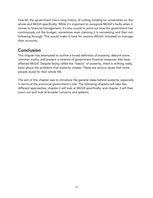Overall, the government has a long history of cutting funding for universities on the whole and McGill specifically. While it's important to recognize McGill's faults when it comes to financial management, it's also crucial to point out how the government has continuously cut the budget, sometimes even claiming it is reinvesting and then not following through. This would make it hard for anyone (McGill included) to manage their accounts.

# Conclusion

This chapter has attempted to outline a broad definition of austerity, debunk some common myths, and present a timeline of government financial measures that have affected McGill. Despite being called the "basics" of austerity, there is nothing really basic about the problems that austerity creates. These are serious issues that some people study for their whole life.

The aim of this chapter was to introduce the general ideas behind austerity, especially in terms of the provincial government's role. The following chapters will take two different approaches: chapter 2 will look at McGill specifically, and chapter 3 will then zoom out and look at broader concerns and systems.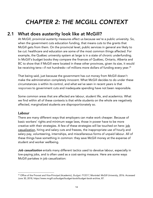# *CHAPTER 2: THE MCGILL CONTEXT*

# 2.1 What does austerity look like at McGill?

At McGill, provincial austerity measures affect us because we're a public university. So, when the government cuts education funding, that means cuts to the grants that McGill gets from them. On the provincial level, public services in general are likely to be cut: healthcare and education are some of the most common things affected. For example, the Québec university system at large is in a state of chronic underfunding. In McGill's budget books they compare the finances of Québec, Ontario, Alberta and BC to show that if McGill were located in these other provinces, given its size, it would be receiving tens—if not hundreds—of millions more dollars of funding every year. 35

That being said, just because the government has cut money from McGill doesn't make the administration completely innocent. What McGill decides to do under these circumstances *is* within its control, and what we've seen in recent years is that *responses* to government cuts and inadequate spending have not been responsible.

Some common areas that are affected are labour, student life, and academics. What we find within all of these contexts is that while students on the whole are negatively affected, marginalized students are disproportionately so.

### Labour

There are many different ways that employers can make work cheaper. Because of basic workers' rights and minimum wage laws, those in power have to be more creative with their strategies. A few of these strategies will be touched on here: job casualization, hiring and salary cuts and freezes, the inappropriate use of hourly and salary pay, volunteering, internships, and miscellaneous forms of unpaid labour. All of these things have something in common: they save McGill money at the expense of student and worker wellbeing.

*Job casualization* entails many different tactics used to devalue labour, especially in low-paying jobs, and is often used as a cost-saving measure. Here are some ways McGill partakes in job casualization:

 $\overline{a}$ <sup>35</sup> Office of the Provost and Vice-Principal (Academic), *Budget: FY2017,* Montréal: McGill University, 2016. Accessed June 30, 2018, https://www.mcgill.ca/budget/budget-book/budget-book-archive, 87.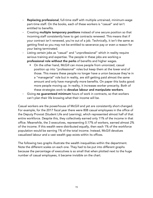- Replacing professional, full-time staff with multiple untrained, minimum-wage part-time staff. On the books, each of these workers is "casual" and isn't entitled to benefits.
- Creating multiple temporary positions instead of one secure position so that incoming staff consistently have to get contracts renewed. This means that if your contract isn't renewed, you're out of a job. Technically, it isn't the same as getting fired so you may not be entitled to severance pay or even a reason for your being terminated.
- Listing certain jobs as "casual" and "unprofessional" which in reality require serious training and expertise. The people in these jobs are working a professional role without the perks of benefits and higher wages.
	- On the other hand, McGill can move people from unionized, casual position up into "professional" roles but keep them at the lower end of those. This means these people no longer have a union because they're in a "managerial" role but in reality, are still getting paid almost the same amount and only have marginally more benefits. On paper this looks good: more people moving up. In reality, it increases worker precarity. Both of these strategies work to devalue labour and manipulate workers.
- Giving no guaranteed minimum hours of work in contracts, so that workers can't plan their life knowing what their income will be.

Casual workers are the powerhouse of McGill and yet are consistently short-changed. For example, for the 2017 fiscal year there were 808 casual employees in the office of the Deputy Provost (Student Life and Learning), which represented almost half of that entire workforce. Despite this, they collectively earned only 11% of the income in that office. Meanwhile, the 3 executives, representing 0.17% of workers, earned almost 2% of the income. If this wealth were distributed equally, then each 1% of the workforce population would be earning 1% of the total income. Instead, McGill devalues casualized labour and a vast wealth gap exists within its offices.

The following two graphs illustrate the wealth inequalities within the department. Note the different scales on each one. They had to be put into different graphs because the percentage of executives is so small that when plotted next to the huge number of casual employees, it became invisible on the chart.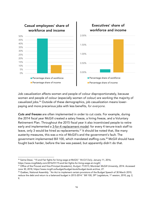

Job casualization affects women and people of colour disproportionately, because women and people of colour (especially women of colour) are working the majority of casualized jobs.<sup>36</sup> Outside of these demographics, job casualization means lowerpaying and more precarious jobs with less benefits, *for everyone.* 

*Cuts and freezes* are often implemented in order to cut costs. For example, during the 2014 fiscal year McGill created a salary freeze, a hiring freeze, and a Voluntary Retirement Plan. Throughout the 2015 fiscal year it also incentivized people to retire early and implemented a 3-for-4 replacement model: for every 4 tenure-track staff to leave, only 3 would be hired as replacements.<sup>37</sup> It should be noted that, like many austerity measures, this was a mix of McGill's and the government's fault. The government implemented Bill 100, which mandated staffing cuts.38 McGill should have fought back harder, before the law was passed, but apparently didn't do that.

 $\overline{a}$ <sup>36</sup> Saima Desai, "15 and Fair fights for living wage at McGill," *McGill Daily,* January 11, 2016, https://www.mcgilldaily.com/2016/01/15-and-fair-fights-for-living-wage-at-mcgill/.

<sup>37</sup> Office of the Provost and Vice-Principal (Academic), *Budget: FY2015,* Montréal: McGill University, 2014. Accessed June 30, 2018, https://www.mcgill.ca/budget/budget-book/budget-book-archive, 27.

<sup>&</sup>lt;sup>38</sup> Québec, National Assembly. "An Act to implement certain provisions of the Budget Speech of 30 March 2010, reduce the debt and return to a balanced budget in 2013-2014." Bill 100, 39<sup>th</sup> Legislature, 1<sup>st</sup> session, 2010, pg. 2, 9.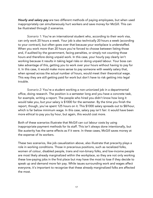*Hourly and salary pay* are two different methods of paying employees, but when used inappropriately can simultaneously hurt workers and save money for McGill. This can be illustrated through 2 scenarios.

*Scenario 1:* You're an international student who, according to their work visa, can only work 20 hours a week. Your job is also technically 20 hours a week (according to your contract), but often goes over that because your workplace is understaffed. When you work more than 20 hours you're forced to choose between listing those and, if audited by the government, facing penalties, or simply not counting those hours and therefore doing unpaid work. In this case, your hourly pay clearly isn't working because it results in taking legal risks or doing unpaid labour. Your boss can take advantage of this, getting you to work over your hours without having to pay for it. In this case, it would make more sense to pay someone with weekly salary that, when spread across the actual number of hours, would meet their theoretical wage. This way they are still getting paid for work but don't have to risk getting into legal trouble.

*Scenario 2:* You're a student working a non-unionized job in a departmental office, doing research. The position is a semester long and you have a concrete task, for example, writing a report. The people who hired you didn't know how long it would take you, but your salary is \$1000 for the semester. By the time you finish the report, though, you've spent 125 hours on it. This \$1000 salary spreads out to \$8/hour, which is far below minimum wage. In this case, salary pay isn't fair: it would have been more ethical to pay you by hour, but again, this would cost more.

Both of these scenarios illustrate that McGill can cut labour costs by using inappropriate payment methods for its staff. This isn't always done intentionally, but like austerity has the same effects as if it were. In these cases, McGill saves money at the expense of its workers.

These two scenarios, like job casualization above, also illustrate that precarity plays a role in working conditions. Those in precarious positions, such as racialized folks, women of colour, disabled people, trans and non-binary folks, and low-income people are most likely already marginalized within the workplace, so they are not only working these low-paying jobs in the first place but may have the most to lose if they decide to speak up and demand more fair pay. While issues surrounding work and wages affect everyone, it's important to recognize that these already marginalized folks are affected the most.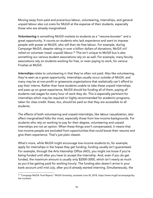Moving away from paid and precarious labour, volunteering, internships, and general unpaid labour also cut costs for McGill at the expense of their students, especially those who are already marginalized.

*Volunteering* is something McGill markets to students as a "resume-booster" and a great opportunity. It counts on students who lack experience and want to impress people with power at McGill, who will then do free labour. For example, during Campaign McGill, despite raking in over a billion dollars of donations, McGill *still* relied on volunteer (read: unpaid) labour.<sup>39</sup> This isn't unique to McGill but is also something our various student associations rely on as well. For example, many faculty associations rely on students working for free, or even paying to work, for various Froshes at McGill.

*Internships* relate to volunteering in that they're often not paid. Also like volunteering, they're seen as a great opportunity. Internships usually occur outside of McGill, and many may be at non-profit or grassroots organizations that realistically can't afford to pay their interns. Rather than have students unable to take these unpaid internships and pass up on great experience, McGill should be funding all of them, paying all students real wages for every hour of work they do. This is especially pertinent for internships which may be required or highly recommended for academic programs, taken for class credit: these, too, should be paid so that they are accessible to all students.

The effects of both volunteering and unpaid internships, like labour casualization, also affect marginalized folks the most, especially those from low-income backgrounds. For students who rely on working to pay for their degree, volunteering and unpaid internships are not an option. When these things aren't compensated, it means that low-income people are excluded from opportunities that could boost their resume and give them experience. That's just plain classist.

What's more, while McGill might encourage low-income students to, for example, apply for internships in the hopes they get funding, funding usually isn't guaranteed. For example, through the Arts Internship Office (AIO), you might not know if you're being funded until after you have to accept the internship. And, even if you do get funded, the maximum amount is usually only \$2000-3000, which isn't nearly as much as you'd be getting paid for working hourly. The funding also doesn't arrive in your bank account until mid-July, after you'd already started interning. Simultaneously, the

 $\overline{a}$ <sup>39</sup> "Campaign McGill: Final Report," McGill University, accessed June 30, 2018, https://www.mcgill.ca/campaign/bythe-numbers.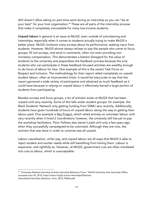AIO doesn't allow taking on part-time work during an internship so you can "be at your best" for your host organization.<sup>40</sup> These are all parts of the internship process that make it completely inaccessible for many low-income students.

*Unpaid labour* in general is an issue at McGill, even outside of volunteering and internships, especially when it comes to students actually trying to make McGill a better place. McGill conducts many surveys about its performance, seeking input from students. However, McGill almost always refuses to pay the people who come to focus groups, fill out surveys, and send in comments, often not even providing nonmonetary compensation. This demonstrates a blatant disregard for the value of students to the university and jeopardizes the feedback process because the only students who can participate in these feedback-focused activities are wealthy enough to do hours of labour for free. One example of this is the recent Task Force on Respect and Inclusion. The methodology for their report relied completely on unpaid student labour, often at inconvenient times. It would be inaccurate to say that the report garnered a wide variety of participants and obtained as much feedback as it could have because in relying on unpaid labour it effectively barred a large portion of students from participating.

Besides surveys and focus groups, a lot of activism exists at McGill that has been unpaid until very recently. Some of this falls under student groups: for example, the Black Students' Network only getting funding from SSMU very recently. Additionally, students have given hundreds of hours of unpaid labour along the way to getting their labour paid. One example is Rez Project, which relied entirely on volunteer labour until very recently when it hired 2 coordinators; however, the university still has yet to pay the workshop facilitators. Floor Fellows also weren't paid until only a few years ago, when they successfully campaigned to be unionized. Although they are now, the activism that was done in order to unionize was all unpaid.

Labour casualization, unfair pay, and unpaid labour are all ways that McGill is able to reject student and worker needs while still benefiting from having them. Labour is expensive, and rightfully so. However, at McGill, government cuts are often translated into cuts to labour, which is unacceptable.

 $\overline{a}$ <sup>40</sup> "University-Related Internship Activity Internship Behaviour Form," McGill University Arts Internship Office, accessed June 30, 2018, https://www.mcgill.ca/arts-internships/files/artsinternships/internship\_behaviour\_form\_2018\_fillable.pdf.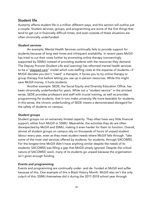### Student life

Austerity affects student life in a million different ways, and this section will outline just a couple. Student services, groups, and programming are some of the first things that tend to get cut in financially difficult times, and even outside of these situations are often chronically underfunded.

### *Student services*

An example: Mental Health Services continually fails to provide support for students because of long wait times and infrequent availability. In recent years McGill has tried to cut their costs further by promoting online therapy (concerningly supported by SSMU) instead of providing students with the resources they demand. The Deputy Provost (Student Life and Learning) has reformed mental health services to be a "stepped care" model which cuts staffing costs at the expense of students—if McGill decides you don't "need" a therapist, it forces you to try online therapy or group therapy first before letting you use up in-person resources. While this might save McGill money, it hurts students.

Another example: SEDE, the Social Equity and Diversity Education Office, has been chronically underfunded for years. While not a "student service" in the strictest sense, SEDE provides professors and staff with crucial training, as well as provides programming for students, that in turn make university life more bearable for students. In this sense, the chronic underfunding of SEDE means a demonstrated disregard for the safety of students on campus.

### *Student groups*

Student groups run on extremely limited capacity. They often have very little financial support, either from McGill or SSMU. Meanwhile, the activities they do are often disrespected by McGill and SSMU, making it even harder for them to function. Overall, almost all student groups on campus rely on thousands of hours of unpaid student labour every year, even as they meet student needs where McGill falls through. Take some of the most vital services offered by students, for students, through SACOMSS. For the longest time McGill didn't have anything similar despite the needs of its students; SACOMSS was filling a gap that McGill simply ignored. Despite the critical nature of SACOMSS' work, many of its students go unpaid because the organization isn't given enough funding.

### *Events and programming*

Events and programming are continually under- and de- funded at McGill and suffer because of this. One example of this is Black History Month. McGill also isn't the only culprit of this: SSMU themselves did it during the 2017-2018 school year through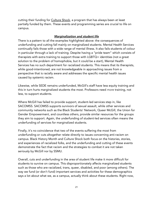cutting their funding for Culture Shock, a program that has always been at least partially funded by them. These events and programming series are crucial to life on campus.

### *Marginalization and student life*

There is a pattern to all the examples highlighted above: the consequences of underfunding and cutting fall mainly on marginalized students. Mental Health Services continually fails those with a wide range of mental illness. It also fails students of colour in particular through a lack of training. Despite having a "pride team" which consists of therapists with extra training to support those with LGBTQ+ identities (not a great solution to the problem of homophobia, but it could be a start), Mental Health Services has no such department for racialized students. This means that its therapists, while good-intentioned, are not knowledgeable in approaching issues from a perspective that is racially aware and addresses the specific mental health issues caused by systemic racism.

Likewise, while SEDE remains underfunded, McGill's staff have less equity training and this in turn hurts marginalized students the most. Professors need *more* training, not less, to support students.

Where McGill has failed to provide support, student-led services step in, like SACOMSS. SACOMSS supports survivors of sexual assault, while other services and community networks such as the Black Students' Network, Queer McGill, the Union for Gender Empowerment, and countless others, provide similar resources for the groups they aim to support. Again, the underfunding of student-led services often means the underfunding of services for marginalized students.

Finally, it's no coincidence that two of the events suffering the most from underfunding or cuts altogether relate directly to issues concerning anti-racism on campus. Black History Month and Culture Shock both focus on the histories, stories, and experiences of racialized folks, and the underfunding and cutting of these events demonstrate the fact that racism and the strategies to combat it are not taken seriously by McGill nor by SSMU.

Overall, cuts and underfunding in the area of student life make it more difficult for students to survive on campus. This disproportionately affects marginalized students such as those who are racialized, trans, queer, disabled, and poor (among others). The way we fund (or don't fund) important services and activities for these demographics says a lot about what we, as a campus, actually think about these students. Right now,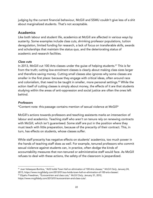judging by the current financial behaviour, McGill and SSMU couldn't give less of a shit about marginalized students. That's not acceptable.

### Academics

Like both labour and student life, academics at McGill are affected in various ways by austerity. Some examples include class cuts, shrinking professor populations, tuition deregulation, limited funding for research, a lack of focus on transferable skills, awards and scholarships that maintain the status quo, and the deteriorating status of academic and research facilities.

### *Class cuts*

In 2013, McGill cut 100 Arts classes under the guise of helping students.<sup>41</sup> This is far from the truth; cutting low-enrolment classes is clearly about making class sizes larger and therefore saving money. Cutting small classes also ignores why some classes are smaller in the first place: because they engage with critical ideas, often around race and colonialism, that need to be taught in smaller, more personal settings.<sup>42</sup> While the action itself of cutting classes is simply about money, the effects of it are that students studying within the areas of anti-oppression and social justice are often the ones left behind.

### *Professors*

\*Content note: this passage contains mention of sexual violence at McGill\*

McGill's actions towards professors and teaching assistants marks an intersection of labour and academics. Teaching staff who aren't on tenure rely on renewing contracts with McGill, which isn't guaranteed. Some staff are put in the position where they must teach with little preparation, because of the precarity of their contract. This, in turn, has effects on students, whose classes suffer.

While staff precarity has negative effects on students' academics, too much power in the hands of teaching staff does as well. For example, tenured professors who commit sexual violence against students can, in practice, often dodge the kinds of accountability measures that non-tenured or administrative staff would face. As McGill refuses to deal with these actions, the safety of the classroom is jeopardized.

 $\overline{a}$ <sup>41</sup> Juan Velasquez-Buritica, "AUS holds Town Hall on elimination of 100 Arts classes," *McGill Daily,* January 24, 2013, https://www.mcgilldaily.com/2013/01/aus-holds-town-hall-on-elimination-of-100-arts-classes/.

<sup>42</sup> Eliyahu Freedman, "Eurocentrism and class cuts," *McGill Daily,* January 31, 2012, https://www.mcgilldaily.com/2013/01/eurocentrism-and-class-cuts/.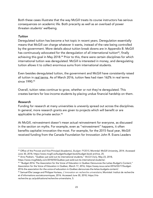Both these cases illustrate that the way McGill treats its course instructors has serious consequences on academic life. Both precarity as well as an overload of power threaten students' wellbeing.

### *Tuition*

Deregulated tuition has become a hot topic in recent years. Deregulation essentially means that McGill can charge whatever it wants, instead of the rate being controlled by the government. More details about tuition break downs are in Appendix B. McGill has continuously advocated for the deregulation of all international tuition<sup>43</sup>, finally achieving this goal in May 2018.<sup>44</sup> Prior to this, there were certain disciplines for which international tuition was deregulated. McGill is interested in money, and deregulating tuition allows it to collect enormous sums from international students.

Even besides deregulated tuition, the government and McGill have consistently raised all tuition in real terms. As of March 2016, tuition fees had risen 162% in real terms since 1990.45

Overall, tuition rates continue to grow, whether or not they're deregulated. This creates barriers for low-income students by placing undue financial hardship on them.

### *Research*

Funding for research at many universities is unevenly spread out across the disciplines. In general, more research grants are given to projects which will benefit or are applicable to the private sector.<sup>46</sup>

At McGill, reinvestment doesn't mean actual reinvestment for everyone, as discussed in the section on myths. For example, even as "reinvestment" happens, it often benefits capitalist innovation the most. For example, for the 2015 fiscal year, McGill received funding from the Canada Foundation for Innovation John R. Evans Leaders

<sup>44</sup> Arno Pedram, "Québec just sold out its international students," *McGill Daily,* May 23, 2018,

https://www.mcgilldaily.com/2018/05/Québec-just-sold-out-its-international-students/.

<sup>45</sup> "Budget 2016: The Association for the Voice of Education in Québec Denounces the Leitao Budget's Content," Association for the Voice of Education in Québec, March 17, 2016, https://aveq-nous.ca/en/2016/03/17/budget-2016-the-association-for-the-voice-of-education-in-Québec-denounces-the-leitao-budgets-content/.

<sup>46</sup> Samuel-Élie Lesage and Philippe Hurteau, *L'innovation en recherche universitaire,* Montréal: Institut de recherche et d'informations socioéconomiques, 2016. Accessed June 30, 2018, https://irisrecherche.qc.ca/publications/recherche-universitaire, 5.

 $\overline{a}$ <sup>43</sup> Office of the Provost and Vice-Principal (Academic), *Budget: FY2015,* Montréal: McGill University, 2014. Accessed June 30, 2018, https://www.mcgill.ca/budget/budget-book/budget-book-archive, 25.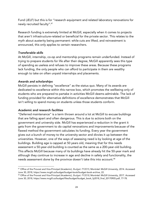Fund (JELF) but this is for "research equipment and related laboratory renovations for newly recruited faculty". 47

Research funding is extremely limited at McGill, especially when it comes to projects that aren't infrastructure-related or beneficial for the private sector. This relates to the myth about austerity being permanent: while cuts are lifted, and reinvestment is announced, this only applies to certain researchers.

### *Transferable skills*

At McGill, internship, co-op and mentorship programs remain underfunded. Instead of trying to prepare students for life after their degree, McGill apparently sees this type of spending as useless and refuses to improve these areas. Because these programs lack funding, the only people who can afford to participate in them are wealthy enough to take on often unpaid internships and placements.

### *Awards and scholarships*

McGill persists in defining "excellence" as the status quo. Many of its awards are dedicated to excellence within this narrow box, which promotes the wellbeing only of students who are prepared to partake in activities McGill deems admirable. The lack of funding provided for alternative definitions of excellence demonstrates that McGill isn't willing to spend money on students unless those students conform.

### *Academic and research facilities*

"Deferred maintenance" is a term thrown around a lot at McGill to excuse buildings that are falling apart and often dangerous. This is due to actions both on the government and university side. McGill has experienced a reduction in the grant it gets from the government to do capital renovations and improvements because of the flawed method the government calculates its funding. Every year the government gives out a bunch of money to the university sector and divvies it up between the universities. However, one of the ways of assessing need is by looking at age of the buildings. Building age is capped at 50 years old, meaning that for this needs assessment a 50-year-old building is counted as the same as a 200-year-old building. This affects McGill because many of its buildings have already hit the 50-year mark and although they continue to increase in age and decline in safety and functionality, the needs assessment done by the province doesn't take this into account.<sup>48</sup>

 $\overline{a}$ <sup>47</sup> Office of the Provost and Vice-Principal (Academic), *Budget: FY2015,* Montréal: McGill University, 2014. Accessed June 30, 2018, https://www.mcgill.ca/budget/budget-book/budget-book-archive, 22.

<sup>48</sup> Office of the Provost and Vice-Principal (Academic), *Budget: FY2018,* Montréal: McGill University, 2017. Accessed June 30, 2018, https://www.mcgill.ca/budget/files/budget/budget\_book\_fy2018\_final\_20170905.pdf, 77-78.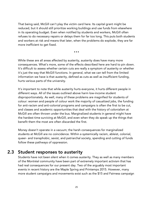That being said, McGill can't play the victim card here. Its capital grant might be reduced, but it should still prioritize working buildings and use funds from elsewhere in its operating budget. Even when notified by students and workers, McGill often refuses to do necessary repairs or delays them for far too long. This puts both students and workers at risk and means that later, when the problems do explode, they are far more inefficient to get fixed.

…

While these are all areas affected by austerity, austerity does have many more consequences. What's more, some of the effects described here are hard to pin down. It's difficult to assess whether certain cuts are really a symptom of austerity or whether it's just the way that McGill functions. In general, what we can tell from the limited information we have is that austerity, defined as cuts as well as insufficient funding, hurts various parts of the university.

It's important to note that while austerity hurts everyone, it hurts different people in different ways. All of the issues outlined above harm low-income student disproportionately. As well, many of these problems are magnified for students of colour: women and people of colour work the majority of casualized jobs, the funding for anti-racism and anti-colonial programs and campaigns is often the first to be cut, and classes and academic opportunities that deal with the history of colonialism at McGill are often thrown under the bus. Marginalized students in general might have the hardest time surviving at McGill, and even when they do speak up the things that benefit them the most are often discarded the first.

Money doesn't operate in a vacuum; the harsh consequences for marginalized students at McGill are no coincidence. Within a systemically racism, ableist, colonial, queer- and transphobic, sexist, and patriarchal society, spending and cutting of funds follow these pathways of oppression.

# 2.3 Student responses to austerity

Students have not been silent when it comes austerity. They as well as many members of the Montréal community have been part of extremely important activism that has had real consequences for our present day. Two of the arguably most important events in recent history are the Maple Spring and Printemps 2015. However, many more student campaigns and movements exist such as the \$15 and Fairness campaign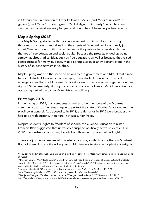in Ontario, the unionization of Floor Fellows at McGill (and McGill's unions<sup>49</sup> in general), and McGill's student group "McGill Against Austerity", which has been campaigning against austerity for years, although hasn't been very active recently.

### Maple Spring (2012)

The Maple Spring started with the announcement of tuition hikes that brought thousands of students and allies into the streets of Montréal. While originally just about Québec student tuition rates, for some the protests became about larger themes of free education and social equity. Because the protests ended up being somewhat about radical ideas such as free education, as well as because they raised consciousness for many students, Maple Spring is seen as an important event in the history of student activism in Québec.

Maple Spring was also the scene of actions by the government and McGill that aimed to restrict student freedoms. For example, many students saw a controversial emergency law that could be used to break down protests as an infringement on their rights.<sup>50</sup> Simultaneously, during the protests two floor fellows at McGill were fired for occupying part of the James Administration building.<sup>51</sup>

### Printemps 2015

 $\overline{a}$ 

In the spring of 2015, many students as well as other members of the Montréal community took to the streets again to protest the state of Québec's budget and the province in general. As opposed to in 2012, the demands in 2015 were broader and had to do with austerity in general, not just tuition hikes.

Despite students' rights to freedom of speech, the Québec Education minister Francois Blais suggested that universities suspend politically active students.<sup>52</sup> Like 2012, this illustrates concerning beliefs from those in power about civil rights.

These are just two examples of powerful activism by students and others in Montréal. Both of them illustrate the willingness of Montréalers to stand up against austerity, but

 $^{49}$  You can find a list of McGill's unions and links to their websites here: http://www.amusemcgill.org/about/unionsat-mcgill/

<sup>&</sup>lt;sup>50</sup> Morgan Lowrie, "As 'Maple Spring' marks five years, activists divided on legacy of Québec student protests," *Toronto Star,* March 26, 2017, https://www.thestar.com/news/canada/2017/03/26/as-maple-spring-marks-fiveyears-activists-divided-on-legacy-of-Québec-student-protests.html.

<sup>51</sup> Jessica Lukawiecki, "Controversy over floor fellow dismissals," *McGill Daily,* March 10, 2012, https://www.mcgilldaily.com/2012/03/controversy-over-floor-fellow-dismissals/.

<sup>52</sup> Benjamin Shingler, "Québec student protests: What you need to know," *CBC News,* April 2, 2015, http://www.cbc.ca/news/canada/Montréal/Québec-student-protests-what-you-need-to-know-1.3018153.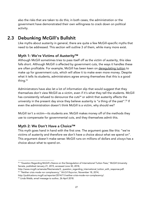also the risks that are taken to do this; in both cases, the administration or the government have demonstrated their own willingness to crack down on political activity.

# 2.3 Debunking McGill's Bullshit

Like myths about austerity in general, there are quite a few McGill-specific myths that need to be addressed. This section will outline 3 of them, while many more exist.

### Myth 1: We're Victims of Austerity™

Although McGill sometimes tries to pass itself off as the victim of austerity, this idea falls short. Although McGill *is* affected by government cuts, the ways it handles these are often profitable. For example, McGill has been keen on derequlating tuition to make up for government cuts, which will allow it to make even more money. Despite what it tells its students, administrators agree among themselves that this is a good thing. 53

Administrators have also let a lot of information slip that would suggest that they themselves don't view McGill as a victim, even if it's what they tell the students. McGill has consistently refused to denounce the cuts<sup>54</sup> or admit that austerity affects the university in the present day since they believe austerity is "a thing of the past". <sup>55</sup> If even the administration doesn't think McGill is a victim, why should we?

McGill isn't a victim—its students are. McGill makes money off of the methods they use to compensate for governmental cuts, and they themselves admit this.

### Myth 2: We Don't Have a Choice™

This myth goes hand in hand with the first one. The argument goes like this: "we're victims of austerity and therefore we don't have a choice about what we spend on". This argument doesn't make sense: McGill runs on millions of dollars and *always* has a choice about what to spend on.

 $\overline{a}$ <sup>53</sup> "Question Regarding McGill's Stance on the Deregulation of International Tuition Fees," McGill University Senate, published January 21, 2015, accessed June 30, 2018,

http://www.mcgill.ca/senate/files/senate/2.\_question\_regarding\_international\_tuition\_with\_response.pdf. <sup>54</sup> "Neither crisis mode nor complacency," *McGill Reporter,* November 18, 2014,

http://publications.mcgill.ca/reporter/2014/11/neither-crisis-mode-nor-complacency/.

<sup>55</sup> Linda Webb, email message to author, 26 April 2018.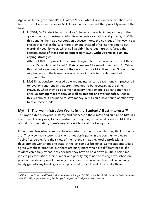Again, while the government's cuts affect McGill, what it *does* in these situations can be criticized. Here are 3 choices McGill has made in the past that probably weren't the best.

- 1. In 2014, McGill decided not to do a "phased approach" in responding to the government cuts, instead cutting its own costs dramatically, right away.<sup>56</sup> While this benefits them as a corporation because it gets the cuts out of the way, it's a choice that makes the cuts more dramatic. Instead of taking the time to cut marginally year by year, which still wouldn't have been great, it forced the consequences of those cuts to appear right away without time to plan any coping strategies.
- 2. After Bill 100 was passed, which was designed to force universities to cut their costs, McGill decided to cut 100 Arts courses (discussed in section 2.1). While this did cut expenses, it wasn't the only option for McGill and wasn't one of the requirements in the law—this was a choice it made to the detriment of academic life.
- 3. McGill has consistently used deferred maintenance to save money. It pushes off renovations and repairs that aren't deemed to be necessary at the time. However, when they do become necessary, the damage is so far gone that it ends up costing more money as well as student and worker safety. Again, this is a choice it has made to save money, but it could have found another way to save those funds.

### Myth 3: The Administration Works in the Students' Best Interests™

This myth extends beyond austerity and finances to the climate and culture on McGill's campuses. It's very easy for administrators to say this, but when it comes to McGill's official documentation, there's very little evidence of this being true.

It becomes clear when speaking to administrators one on one who they think students are. They view their students as clients, not participants in the community they're "trying" to create. And their view of their client is that they desire professional development workshops and state-of-the-art campus buildings. Some students would agree with these priorities, but there are many more who have different needs. If a student can barely attend class because they have to hold down multiple part-time jobs to pay for tuition, their number one priority might not be taking a workshop on professional development. Similarly, if a student uses a wheelchair and can already barely get into any buildings on campus, what good does it do to make those

 $\overline{a}$ <sup>56</sup> Office of the Provost and Vice-Principal (Academic), *Budget: FY2015,* Montréal: McGill University, 2014. Accessed June 30, 2018, https://www.mcgill.ca/budget/budget-book/budget-book-archive, 26.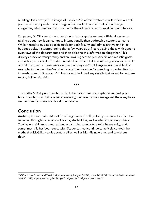buildings look pretty? The image of "student" in administrators' minds reflect a small portion of the population and marginalized students are left out of that image altogether, which makes it impossible for the administration to work in their interests.

On paper, McGill spends far more time in its budget books and official documents talking about how it can compete internationally than addressing student concerns. While it used to outline specific goals for each faculty and administrative unit in its budget books, it stopped doing that a few years ago, first replacing these with generic overviews of the departments and then deleting this information altogether. This displays a lack of transparency and an unwillingness to put specific and realistic goals into action, modelled off student needs. Even when it does outline goals in some of its official documents, these are so vague that they can't hold anyone accountable. For example, in the past they've listed one of their goals as "expanding opportunities for internships and UG research"<sup>57</sup>, but haven't included any details that would force them to stay in line with this.

…

The myths McGill promotes to justify its behaviour are unacceptable and just plain false. In order to mobilize against austerity, we have to mobilize against these myths as well as identify others and break them down.

# Conclusion

Austerity has existed at McGill for a long time and will probably continue to exist. It is reflected through issues around labour, student life, and academics, among others. That being said, important student activism has been done to fight austerity, and sometimes this has been successful. Students must continue to actively combat the myths that McGill spreads about itself as well as identify new ones and tear them down.

 $\overline{a}$ <sup>57</sup> Office of the Provost and Vice-Principal (Academic), *Budget: FY2015,* Montréal: McGill University, 2014. Accessed June 30, 2018, https://www.mcgill.ca/budget/budget-book/budget-book-archive, 32.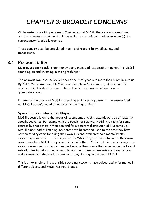# *CHAPTER 3: BROADER CONCERNS*

While austerity is a big problem in Québec and at McGill, there are also questions outside of austerity that we should be asking and continue to ask even when (if) the current austerity crisis is resolved.

These concerns can be articulated in terms of responsibility, efficiency, and transparency.

# 3.1 Responsibility

Main questions to ask: Is our money being managed responsibly in general? Is McGill spending on and investing in the right things?

The answer: No. In 2015, McGill ended the fiscal year with more than \$66M in surplus. By 2017, McGill was over \$17M in debt. Somehow McGill managed to spend this much cash in this short amount of time. This is irresponsible behaviour on a quantitative level.

In terms of the *quality* of McGill's spending and investing patterns, the answer is still no. McGill doesn't spend on or invest in the "right things".

### Spending on… students? Nope.

McGill doesn't listen to the needs of its students and this extends outside of austerityspecific scenarios. For example, in the Faculty of Science, McGill hires TAs for some courses but not others. When demand for a different distribution of TAs came up, McGill didn't bother listening. Students have become so used to this that they have now created systems for hiring their own TAs and even created a mental health support system within certain departments. While they are forced to create their own resources where McGill is supposed to provide them, McGill still demands money from various departments, who can't refuse because they create their own course packs and sets of notes to help students pass classes (the professors' materials apparently don't make sense), and these will be banned if they don't give money to McGill.

This is an example of irresponsible spending: students have voiced desire for money in different places, and McGill has not listened.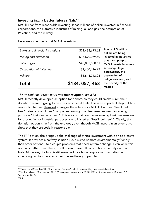### Investing in... a better future? Nah.<sup>58</sup>

McGill is far from responsible investing. It has millions of dollars invested in financial corporations, the extractive industries of mining, oil and gas, the occupation of Palestine, and the military.

| \$134, 057, 463 |
|-----------------|
| \$3,644,743.25  |
| \$1,400,416.93  |
| \$40,833,530.11 |
| \$16,690,079.60 |
| \$71,488,693.62 |
|                 |

Here are some things that McGill invests in:

Almost 1.5 million ollars are being  $i$ vested in industries hat harm people. McGill invests in human uffering, illegal ccupations, the estruction of Indigenous land, and he poverty of the asses.

### *The "Fossil Fuel Free" (FFF) investment option: it's a lie*

McGill recently developed an option for donors, so they could "make sure" their donations weren't going to be invested in fossil fuels. This is an important step but has serious limitations. Hexavest manages these funds for McGill, but their "fossil fuel free" index only excludes "companies owning fossil fuel reserves used for energy purposes" that can be proven. <sup>59</sup> This means that companies owning fossil fuel reserves for production or industrial purposes are still listed as "fossil fuel free".<sup>60</sup> Clearly, this donation option is far from the end goal, even though McGill uses it in an attempt to show that they are socially responsible.

The FFF option also brings up the challenge of ethical investment within an oppressive system. It provides a halfway solution (i.e. it's *kind of* more environmentally friendly than other options?) to a couple problems that need systemic change. Even while this option is better than others, it still doesn't cover all corporations that rely on fossil fuels. Moreover, the fund is still managed by a large corporation that relies on advancing capitalist interests over the wellbeing of people.

 $\overline{a}$ 58 Taken from Divest McGill's "Endowment Browser", which, since writing, has been taken down.

<sup>59</sup> Sophie Leblanc, "Endowment 101," (Powerpoint presentation, McGill Office of Investments, Montréal QC, September 2017).

<sup>60</sup> Ibid.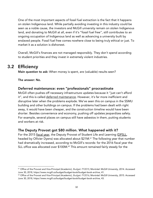One of the most important aspects of fossil fuel extraction is the fact that it happens on stolen Indigenous land. While partially avoiding investing in this industry could be seen as a noble cause, the investors and McGill university remain on stolen Indigenous land, and donating to McGill at all, even if it's "fossil fuel free", still contributes to an ongoing occupation of Indigenous land as well as advancing a university built by enslaved people. Fossil fuel free comes nowhere close to being truly ethical or just. To market it as a solution is dishonest.

Overall, McGill's finances are not managed responsibly. They don't spend according to student priorities and they invest in extremely violent industries.

## 3.2 Efficiency

Main question to ask: When money is spent, are (valuable) results seen?

The answer: No.

### Deferred maintenance: even "professionals" procrastinate

McGill often pushes off necessary infrastructure updates because it "just can't afford it", and this is called deferred maintenance. However, it's far more inefficient and disruptive later when the problems explode. We've seen this on campus in the SSMU building and other buildings on campus. If the problems had been dealt with right away, it would have been cheaper, and the construction timeline would have been shorter. Besides convenience and economy, pushing off updates jeopardizes safety. For example, several places on campus still have asbestos in them, putting students and workers at risk.

### The Deputy Provost got \$80 million. What happened with it?

For the 2015 fiscal year, the Deputy Provost of Student Life and Learning (DPSLL, headed by Ollivier Dyens) was allocated about \$21M. <sup>61</sup> The following year that number had dramatically increased, according to McGill's records: for the 2016 fiscal year the SLL office was allocated over \$100M. <sup>62</sup> This amount remained fairly steady for the

 $\overline{a}$ <sup>61</sup> Office of the Provost and Vice-Principal (Academic), *Budget: FY2015,* Montréal: McGill University, 2014. Accessed June 30, 2018, https://www.mcgill.ca/budget/budget-book/budget-book-archive, 41.

<sup>62</sup> Office of the Provost and Vice-Principal (Academic), *Budget: FY2016,* Montréal: McGill University, 2015. Accessed June 30, 2018, https://www.mcgill.ca/budget/budget-book/budget-book-archive, 43.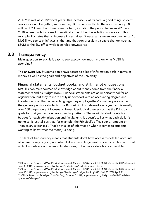$2017<sup>63</sup>$  as well as  $2018<sup>64</sup>$  fiscal years. This increase is, at its core, a good thing: student services should be getting more money. But what exactly did the approximately \$80 million do? Throughout Dyens' entire term, including the period between 2015 and 2018 where funds increased dramatically, the SLL unit was failing miserably.<sup>65</sup> This example illustrates that an increase in cash doesn't necessarily mean improvements. At McGill, we see cash influxes all the time that don't result in valuable change, such as \$80M to the SLL office while it spiraled downwards.

# 3.3 Transparency

Main question to ask: Is it easy to see exactly how much and on what McGill is spending?

The answer: No. Students don't have access to a lot of information both in terms of money as well as the goals and objectives of the university.

Financial statements, budget books, and still… a lot of questions

McGill's two main sources of knowledge about money come from the financial statements and its Budget Book. Financial statements are an important tool for an organization, but they're more easily understood with an accounting degree and knowledge of all the technical language they employ—they're not very accessible to the general public or students. The Budget Book is released every year and is usually over 100 pages long. It focuses on broad ideological themes such as the Principal's goals for that year and general spending patterns. The most detailed it gets is a budget for each administration and faculty unit. It doesn't tell us what each dollar is going to; it just tells us that, for example, the Principal's office spent *x* amount on "non-salary expenses". That's not a lot of information when it comes to students wanting to know *what the money is doing.* 

This lack of transparency means that students don't have access to detailed accounts of where money is going and what it does there. In general, students can find out what units' budgets are and a few subcategories, but no more details are accessible.

 $\overline{a}$ <sup>63</sup> Office of the Provost and Vice-Principal (Academic), *Budget: FY2017,* Montréal: McGill University, 2016. Accessed June 30, 2018, https://www.mcgill.ca/budget/budget-book/budget-book-archive, 41.

<sup>64</sup> Office of the Provost and Vice-Principal (Academic), *Budget: FY2018,* Montréal: McGill University, 2017. Accessed June 30, 2018, https://www.mcgill.ca/budget/files/budget/budget\_book\_fy2018\_final\_20170905.pdf, 29.

<sup>65</sup> "Ollivier Dyens has failed you," *McGill Daily,* October 3, 2017, https://www.mcgilldaily.com/2017/10/ollivierdyens-has-failed-you/.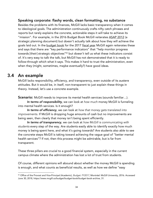### Speaking corporate: flashy words, clean formatting, no substance

Besides the problems with its finances, McGill lacks basic transparency when it comes to ideological goals. The administration continuously crafts nifty catch phrases and reports but rarely explains the concrete, actionable steps it will take to achieve its "mission". For example, in the 2016 Budget Book McGill reiterates ASAP 2012 (a strategic planning document) but doesn't actually talk about how they will achieve the goals laid out. In the budget book for the 2017 fiscal year McGill again reiterates these and says that there are "key performance indicators" that "help monitor progress towards [their] strategic objectives"66 but doesn't tell us what these indicators consist of. It's very easy to talk the talk, but McGill has not demonstrated that it is ready to follow-through which what it says. This makes it hard to trust the administration, even when they (might, sometimes, maybe eventually?) have good ideas.

### 3.4 An example

McGill lacks responsibility, efficiency, and transparency, even outside of its austere attitudes. But it would be, in itself, non-transparent to just explain these things in theory. Instead, let's use a concrete example.

**Scenario:** McGill needs to improve its mental health services (sounds familiar...).

*In terms of responsibility*, we can look at *how much* money McGill is funneling into mental health services. Is it enough?

*In terms of efficiency*, we can look at *how that money gets translated into improvements.* If McGill is dropping huge amounts of cash but no improvements are being seen, then clearly that money isn't being spent efficiently.

*In terms of transparency*, we can look at *how McGill is communicating with students* every step of the way. Are students easily able to identify exactly how much money is being spent here, and what it's going towards? Are students also able to see the concrete steps McGill is taking toward achieving the vague goal of "better mental health services"? If not, then this process might be admirable, but is far from transparent.

These three pillars are crucial to a good financial system, especially in the current campus climate where the administration has lost a lot of trust from students.

Of course, different opinions will abound about whether the money McGill is spending is enough, and what counts as beneficial results, as well as how we define "easy

 $\overline{a}$ <sup>66</sup> Office of the Provost and Vice-Principal (Academic), *Budget: FY2017,* Montréal: McGill University, 2016. Accessed June 30, 2018, https://www.mcgill.ca/budget/budget-book/budget-book-archive, 31.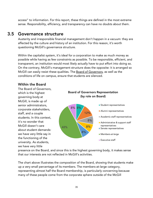access" to information. For this report, these things are defined in the most extreme sense. Responsibility, efficiency, and transparency can have no doubts about them.

### 3.5 Governance structure

Austerity and irresponsible financial management don't happen in a vacuum: they are affected by the culture and history of an institution. For this reason, it's worth questioning McGill's governance structure.

Within the capitalist system, it's ideal for a corporation to make as much money as possible while having as few constraints as possible. To be responsible, efficient, and transparent, an institution would most likely actually have to put effort into doing so. On the contrary, McGill's management structure does the opposite: it is arranged so McGill can easily resist these qualities. The Board of Governors, as well as the conditions of life on campus, ensure that students are silenced.

### Within the Board

The Board of Governors, which is the highest governing body at McGill, is made up of senior administrators, corporate stakeholders, staff, and a couple students. In this context, it's no wonder that McGill doesn't care about student demands: we have very little say in the functioning of the university. As students, we have very little

### Board of Governors Representation (by role on Board)



### **Student representatives**

- **Alumni representatives**
- Academic staff representatives
- **Administrative & support staff** representatives
- **Senate representatives**
- **Members-at-large**
- Executive staff

presence on the Board, and since this is the highest governing body, it makes sense that our interests are not reflected in McGill's activities.

The chart above illustrates the composition of the Board, showing that students make up a very small percentage of its members. The members-at-large category, representing almost half the Board membership, is particularly concerning because many of these people come from the corporate sphere outside of the McGill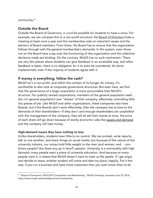### community.<sup>67</sup>

### Outside the Board

Outside the Board of Governors, it *could* be possible for students to have a voice. For example, we can compare this to a non-profit structure: the Board of Directors hosts a meeting at least once a year and the membership vote on important issues and the election of Board members. From there, the Board has to ensure that the organization follows through with the general membership's demands. In this system, even those not on the Board have a say over the functioning of the organization and the collective decisions made are binding. On the contrary, McGill has no such mechanism. There are very few places where students can give feedback in an accessible way, and when feedback is taken, there is no obligation for it to even be considered, let alone implemented, even if the majority of students agree with it.

### If money is everything, follow the cash?

McGill isn't a non-profit, and within the context of its hunger for money, it's worthwhile to also look at corporate governance structures. But even here, we find that the governance of a large corporation is more accountable than McGill's structure. For publicly owned corporations, members of the general population (well… the *rich* general population) own "shares" of that company, effectively controlling little tiny pieces of pie. Like McGill and other organizations, these companies also have Boards, but if the Boards don't work effectively, then the company has to bow to the demands of their shareholders—if they don't and enough shareholders are unsatisfied with the management of the company, they will all sell their shares at once, the price of each share will go down because of wonky economic rules like supply and demand, and the company will lose money.

### *High-demand means they have nothing to lose*

Unlike shareholders, students have little to no control. We can protest, write reports, talk to one another, and share things on social media, but because of the nature of the university industry, our voices hold little weight to the men (and women, and… nonbinary people? Are there any up in here?) upstairs. University is a commodity with high demand: many people want a piece of university education. And because so many people want it, it means that McGill doesn't have to treat us like jewels. If I get angry and decide to leave, another student will come and take my place, happily. Put it this way: if you run a business and have more customers than you even know what to do

 $\overline{a}$  $^{67}$  "Board of Governors: 2018-2019 Composition and Membership," McGill University, accessed June 30, 2018, https://www.mcgill.ca/boardofgovernors/membership.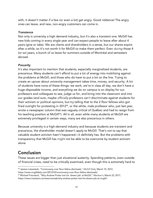with, it doesn't matter if a few (or even a lot) get angry. Good riddance! The angry ones can leave, and new, non-angry customers can come in.

### *Transience*

Not only is university a high demand industry, but it's also a transient one. McGill has new kids coming in every single year and can expect people to leave after about 4 years (give or take). We are clients and shareholders in a sense, but our shares expire after a while, so it's not worth it for McGill to make them perfect. Even *during* those 4 (or so) years, a bunch of us leave for summers outside of Montréal and semesters abroad.

### *Precarity*

It's also important to mention that students, especially marginalized students, are precarious. Many students can't afford to put a lot of energy into mobilizing against the problems at McGill, and those who do have to put a lot on the line. Trying to create an uproar about university management takes time, money, and security. A lot of students have none of these things: we work, we're in class all day, we don't have a huge disposable income, and everything we do on campus is on display for our professors and colleagues to see, judge us for, and bring into the classroom and into our grades (and sure, maybe *officially* professors can't discriminate against students for their activism or political opinions, but try telling that to the 2 floor fellows who got fired outright for protesting in 2012<sup>68</sup>, or the white, male professor who, just last year, wrote a newspaper column that was vaguely critical of Québec and had to resign from his teaching position at McGill<sup>69</sup>). All in all, even while many students at McGill are extremely privileged in certain ways, many are also precarious in others.

Because university is a high-demand industry and because students are transient and precarious, the shareholder model doesn't apply to McGill. That's not to say that valuable student activism hasn't happened—it definitely has. But the problems with transparency that McGill has *might* not be able to be overcome by student activism alone.

# Conclusion

These issues are bigger than just situational austerity. Spending patterns, even outside of financial crises, need to be critically examined, even though this is extremely hard to

 $\overline{a}$ <sup>68</sup> Jessica Lukawiecki, "Controversy over floor fellow dismissals," *McGill Daily,* March 10, 2012, https://www.mcgilldaily.com/2012/03/controversy-over-floor-fellow-dismissals/.

<sup>69</sup> Michael Friscolanti, "Why Andrew Potter lost his 'dream job' at McGill," *Maclean's,* March 23, 2017, https://www.macleans.ca/news/canada/why-andrew-potter-lost-his-dream-job-at-mcgill/.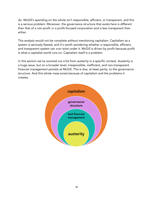do. McGill's spending on the whole isn't responsible, efficient, or transparent, and this is a serious problem. Moreover, the governance structure that exists here is different than that of a non-profit *or* a profit-focused corporation and is less transparent than either.

This analysis would not be complete without mentioning capitalism. Capitalism as a system is seriously flawed, and it's worth wondering whether a responsible, efficient, and transparent system can *ever* exist under it. McGill is driven by profit because profit is what a capitalist world runs on. Capitalism itself is a problem.

In this section we've zoomed out a bit from austerity in a specific context. Austerity is a huge issue, but on a broader level, irresponsible, inefficient, and non-transparent financial management persists at McGill. This is due, at least partly, to the governance structure. And this whole mess exists because of capitalism and the problems it creates.

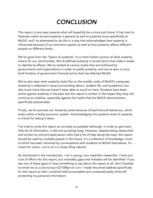# *CONCLUSION*

This report is one step towards what will hopefully be a more just future. It has tried to illustrate myths around austerity in general as well as austerity more specifically at McGill, and I've attempted to do this in a way that acknowledges how austerity is influenced because of our economic system as well as how austerity affects different people on different levels.

We've gone from the "basics of austerity" to a more holistic picture of what austerity means for our communities. We've defined austerity in broad terms that make it easier to identify its effects. We've looked at various myths that are furthered by governments and organizations in order to justify austerity, and we've seen a (*very*) brief timeline of government financial action that has affected McGill.

We've also seen what austerity looks like on the smaller scale of McGill's campuses. Austerity is reflected in issues surrounding labour, student life, and academics, but also much more that we haven't been able to touch on here. Students have been active against austerity in the past and this report is written in the hopes they they will continue to mobilize, especially against the myths that the McGill administration specifically perpetuates.

Finally, we've zoomed out. Austerity exists because of bad financial behaviour, which exists within a faulty economic system. Acknowledging this systemic level of austerity is critical for taking it down.

I've tried to write this report as concisely as possible (although, in order to get every little bit of information, it did end up being long). However, despite being researched and written by one principal person (who had a lot of help along the way), this report should be used by multiple people in the future. It's a collection of knowledge, much of which has been informed by conversations with students at McGill themselves. It's meant for action, not to sit in a dusty filing cabinet.

As mentioned in the introduction, I am a young, very imperfect researcher. I have put a lot of effort into this report, but inevitably gaps and mistakes will be identified. If you see one of these gaps or have something to say about this report at all, don't hesitate to email me at *austerityreport2018@gmail.com.* I made this email address specifically for this report so that I could be held accountable and contacted easily while still protecting my personal information.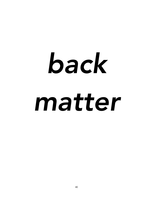# *back matter*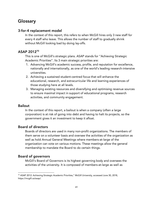# **Glossary**

### 3-for-4 replacement model

In the context of this report, this refers to when McGill hires only 3 new staff for every 4 staff who leave. This allows the number of staff to gradually shrink without McGill looking bad by doing lay-offs.

### ASAP 201270

This is one of McGill's strategic plans. ASAP stands for "Achieving Strategic Academic Priorities". Its 3 main strategic priorities are:

- 1. Advancing McGill's academic success, profile, and reputation for excellence, nationally and internationally, as one of the world's leading research-intensive universities.
- 2. Achieving a sustained student-centred focus that will enhance the educational, research, and extracurricular life and learning experiences of those studying here at all levels.
- 3. Managing existing resources and diversifying and optimising revenue sources to ensure maximal impact in support of educational programs, research activities, and community engagement*.*

### **Bailout**

In the context of this report, a bailout is when a company (often a large corporation) is at risk of going into debt and having to halt its projects, so the government gives it an investment to keep it afloat.

### Board of directors

Boards of directors are used in many non-profit organizations. The members of them serve on a volunteer basis and oversee the activities of the organization as well as hold Annual General Meetings where members-at-large of the organization can vote on various motions. These meetings allow the general membership to mandate the Board to do certain things.

### Board of governors

McGill's Board of Governors is its highest governing body and oversees the activities of the university. It is composed of members-at-large as well as

 $\overline{a}$ <sup>70</sup> ASAP 2012: Achieving Strategic Academic Priorities," McGill University, accessed June 30, 2018, https://mcgill.ca/asap/.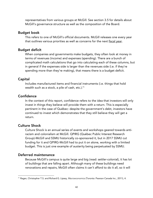representatives from various groups at McGill. See section 3.5 for details about McGill's governance structure as well as the composition of the Board.

### Budget book

This refers to one of McGill's official documents. McGill releases one every year that outlines various priorities as well as concerns for the next fiscal year.

### Budget deficit

When companies and governments make budgets, they often look at money in terms of revenues (income) and expenses (spending). There are a bunch of complicated math calculations that go into calculating each of these columns, but in general if the expenses side is larger than the revenues side (i.e. if they're spending more than they're making), that means there is a budget deficit.

### Capital

Includes manufactured items and financial instruments (i.e. things that hold wealth such as a stock, a pile of cash, etc.). $71$ 

### **Confidence**

In the context of this report, confidence refers to the idea that investors will only invest in things they believe will provide them with a return. This is especially pertinent in the case of Québec: despite the government's debt, investors have continued to invest which demonstrates that they still believe they will get a return.

### Culture Shock

Culture Shock is an annual series of events and workshops geared towards antiracism and colonialism at McGill. QPIRG (Québec Public Interest Research Group)-McGill and SSMU historically co-sponsored it, but in 2017 SSMU cut funding for it and QPIRG-McGill had to put it on alone, working with a limited budget. This is just one example of austerity being perpetuated by SSMU.

### Deferred maintenance

Because McGill's campus is quite large and big (read: settler-colonial), it has lot of buildings that are falling apart. Although many of these buildings need renovations and repairs, McGill often claims it can't afford to do it all, so it will

 $\overline{a}$ <sup>71</sup> Ragan, Christopher T.S. and Richard G. Lipsey, *Macroeconomics* (Toronto: Pearson Canada Inc., 2011), 4.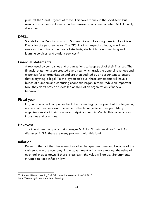push off the "least urgent" of these. This saves money in the short-term but results in much more dramatic and expensive repairs needed when McGill finally does them.

### DPSLL

Stands for the Deputy Provost of Student Life and Learning, heading by Ollivier Dyens for the past few years. The DPSLL is in charge of athletics, enrolment services, the office of the dean of students, student housing, teaching and learning services, and student services.<sup>72</sup>

### Financial statements

A tool used by companies and organizations to keep track of their finances. The financial statements are created every year which track the general revenues and expenses for an organization and are then audited by an accountant to ensure that everything is legal. To the layperson's eye, these statements will have a bunch of numbers and confusing economic jargon in them. While an important tool, they don't provide a detailed analysis of an organization's financial behaviour.

### Fiscal year

Organizations and companies track their spending by the year, but the beginning and end of their year isn't the same as the January-December year. Many organizations start their fiscal year in April and end in March. This varies across industries and countries.

### Hexavest

The investment company that manages McGill's "Fossil-Fuel-Free" fund. As discussed in 3.1, there are many problems with this fund.

### Inflation

Refers to the fact that the value of a dollar changes over time and because of the cash supply in the economy. If the government prints more money, the value of each dollar goes down; if there is less cash, the value will go up. Governments struggle to keep inflation low.

 $\overline{a}$ <sup>72</sup> "Student Life and Learning," McGill University, accessed June 30, 2018, https://www.mcgill.ca/studentlifeandlearning/.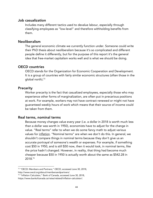### Job casualization

Includes many different tactics used to devalue labour, especially through classifying employees as "low-level" and therefore withholding benefits from them.

### Neoliberalism

The general economic climate we currently function under. Someone could write their PhD thesis about neoliberalism because it's so complicated and different people define it differently, but for the purpose of this report it's the general idea that free-market capitalism works well and is what we should be doing.

### OECD countries

OECD stands for the Organization for Economic Cooperation and Development. It is a group of countries with fairly similar economic structures (often those in the global north).73

### **Precarity**

Worker precarity is the fact that casualized employees, especially those who may experience other forms of marginalization, are often put in precarious positions at work. For example, workers may not have contract renewed or might not have guaranteed weekly hours of work which means that their source of income could be taken from them.

### Real terms, nominal terms

Because money changes value every year (i.e. a dollar in 2018 is worth much less than a dollar was worth in 1950), economists have to adjust for the change in value. "Real terms" refer to when we do some fancy math to adjust various values for inflation. "Nominal terms" are when we don't do this. In general, we shouldn't compare things in nominal terms because they don't give us an accurate portrayal of someone's wealth or expenses. For example, if something cost \$50 in 1950, and is still \$50 now, then it would look, in nominal terms, like the price hadn't changed. However, in reality, that thing had become much cheaper because \$50 in 1950 is actually worth about the same as \$542.28 in 2018.74

 $\overline{a}$ <sup>73</sup> "OECD: Members and Partners," OECD, accessed June 30, 2018, http://www.oecd.org/about/membersandpartners/.

<sup>74</sup> "Inflation Calculator," Bank of Canada, accessed June 30, 2018, https://www.bankofcanada.ca/rates/related/inflation-calculator/.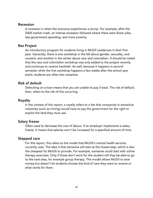### Recession

A recession is when the economy experiences a slump. For example, after the 2008 market crash, an intense recession followed where there were fewer jobs, less government spending, and more poverty.

### Rez Project

An introductory program for students living in McGill residences in their first year. Generally, there is one workshop in the fall about gender, sexuality, and consent, and another in the winter about race and colonialism. It should be noted that the race and colonialism workshop was only added to the project recently and continues to receive backlash. As well, because it happens in second semester while the first workshop happens a few weeks after the school year starts, students are often less receptive.

### Risk of default

Defaulting on a loan means that you are unable to pay it back. The risk of default, then, refers to the risk of this occurring.

### Royalty

In the context of this report, a royalty refers to a fee that companies in extractive industries (such as mining) would have to pay the government for the right to exploit the land they must use.

### Salary freeze

Often used to decrease the cost of labour. If an employer implements a salary freeze, it means that salaries won't be increased for a specified amount of time.

### Stepped care

For this report, this refers to the model that McGill's mental health services currently uses. The idea is that someone will start at the lowest step, which is also the cheapest for McGill to provide. For example, someone could start with online therapy exercises. Only if those don't work for the student will they be able to go to the next step, for example group therapy. This model allows McGill to save money but doesn't let students choose the kind of care they want to receive or what works for them.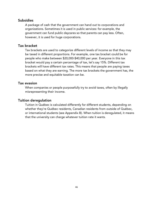### **Subsidies**

A package of cash that the government can hand out to corporations and organizations. Sometimes it is used in public services: for example, the government can fund public daycares so that parents can pay less. Often, however, it is used for huge corporations.

### Tax bracket

Tax brackets are used to categorize different levels of income so that they may be taxed in different proportions. For example, one tax bracket could be for people who make between \$20,000-\$40,000 per year. Everyone in this tax bracket would pay a certain percentage of tax, let's say 15%. Different tax brackets will have different tax rates. This means that people are paying taxes based on what they are earning. The more tax brackets the government has, the more precise and equitable taxation can be.

### Tax evasion

When companies or people purposefully try to avoid taxes, often by illegally misrepresenting their income.

### Tuition deregulation

Tuition in Québec is calculated differently for different students, depending on whether they're Québec residents, Canadian residents from outside of Québec, or international students (see Appendix B). When tuition is deregulated, it means that the university can charge whatever tuition rate it wants.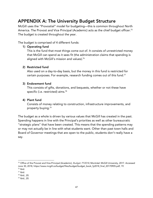# APPENDIX A: The University Budget Structure

McGill uses the "Provostial" model for budgeting—this is common throughout North America. The Provost and Vice Principal (Academic) acts as the chief budget officer.<sup>75</sup> The budget is created throughout the year.

The budget is comprised of 4 different funds:

### 1) Operating fund

This is the fund that most things come out of. It consists of unrestricted money that McGill can spend as it sees fit (the administration claims that spending is aligned with McGill's mission and values).<sup>76</sup>

### 2) Restricted fund

Also used on a day-to-day basis, but the money in this fund is restricted for certain purposes. For example, research funding comes out of this fund.<sup>77</sup>

### 3) Endowment fund

This consists of gifts, donations, and bequests, whether or not these have specific (i.e. restricted) aims.<sup>78</sup>

### 4) Plant fund

Consists of money relating to construction, infrastructure improvements, and property buying.<sup>79</sup>

The budget as a whole is driven by various values that McGill has created in the past. Spending happens in line with the Principal's priorities as well as other bureaucratic "strategic plans" that have been created. This means that the spending patterns may or may not actually be in line with what students want. Other than past town halls and Board of Governor meetings that are open to the public, students don't really have a say.

 $\overline{a}$ 

<sup>75</sup> Office of the Provost and Vice-Principal (Academic), *Budget: FY2018,* Montréal: McGill University, 2017. Accessed June 30, 2018, https://www.mcgill.ca/budget/files/budget/budget\_book\_fy2018\_final\_20170905.pdf, 19. <sup>76</sup> Ibid.

<sup>77</sup> Ibid.

<sup>78</sup> Ibid., 20.

<sup>79</sup> Ibid., 20.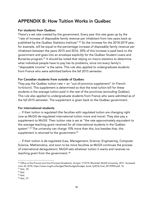# APPENDIX B: How Tuition Works in Québec

### For students from Québec:

There's a set rate created by the government. Every year this rate goes up by the "rate of increase of disposable family revenue per inhabitant from two years back as published by the Québec Statistics Institute".<sup>80</sup> So the increase for the 2018-2019 year, for example, will be equal to the percentage increase of disposable family revenue per inhabitant between the years 2015 and 2016. 30% of this increase is paid back to the government and goes into an envelope explicitly for the Québec Student Loans and Bursaries program.<sup>81</sup> It should be noted that relying on macro statistics to determine what individual people have to pay has its problems, since not every family's "disposable income" is the same. This rule also applied to undergraduate students from France who were admitted before the fall 2015 semester.

### For Canadian students from outside of Québec

They pay the Québec tuition rate + an "out-of-province supplement" (in French: *forfaitaire*). This supplement is determined so that the total tuition bill for these students is the average tuition paid in the rest of the provinces (excluding Québec). This rule also applied to undergraduate students from France who were admitted as of the fall 2015 semester. The supplement is given back to the Québec government.

### For international students

… If their tuition is regulated (the faculties with regulated tuition are changing right now as McGill de-regulated international tuition more and more): They also pay a supplement to McGill. Their tuition rate is set at "the rate approximately equivalent to the average teaching grant received for all international students in the Québec system".<sup>82</sup> The university can charge 10% more than this, but besides that, this supplement is returned to the government.<sup>83</sup>

… If their tuition is de-regulated (Law, Management, Science, Engineering, Computer Science, Mathematics, and soon to be more faculties as McGill continues the process of international deregulation): McGill sets whatever tuition it wants and receives no teaching grant from the government. <sup>84</sup>

 $\overline{a}$ 

<sup>80</sup> Office of the Provost and Vice-Principal (Academic), *Budget: FY2018,* Montréal: McGill University, 2017. Accessed June 30, 2018, https://www.mcgill.ca/budget/files/budget/budget\_book\_fy2018\_final\_20170905.pdf, 16. <sup>81</sup> Ibid., 59.

<sup>82</sup> Ibid.

<sup>83</sup> Ibid.

<sup>84</sup> Ibid., 57.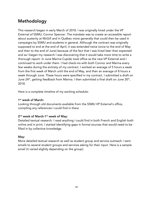# Methodology

This research began in early March of 2018. I was originally hired under the VP External of SSMU, Connor Spencer. The mandate was to create an accessible report about austerity at McGill and in Québec more generally that could then be used in campaigns by SSMU and students in general. Although the contract was originally supposed to end at the end of April, it was extended twice (once to the end of May and then to the end of June) because of the fact that I was hired later than expected and as I began my research I was discovering that it would take more time to write a thorough report. In June Marina Cupido took office as the new VP External and I continued to work under them. I had check-ins with both Connor and Marina every few weeks during the entirety of my contract. I worked an average of 5 hours a week from the first week of March until the end of May, and then an average of 8 hours a week through June. These hours were specified in my contract. I submitted a draft on June 24th, getting feedback from Marina. I then submitted a final draft on June 30th, 2018.

Here is a complete timeline of my working schedule:

### 1<sup>st</sup> week of March:

Looking through old documents available from the SSMU VP External's office, compiling any references I could find in there

### 2<sup>nd</sup> week of March-1<sup>st</sup> week of May:

Detailed textual research. I read anything I could find in both French and English both online and in print. I started identifying gaps in formal sources that would need to be filled in by collective knowledge.

### May:

More detailed textual research as well as student group and service outreach. I sent emails to several student groups and services asking for their input. Here is a sample email (it varied slightly depending on the group):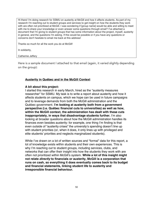Hi there! I'm doing research for SSMU on austerity at McGill and how it affects students. As part of my research I'm reaching out to student groups and services to get insight on how the students they work with are often not prioritized at McGill. I was wondering if [group name] would be able and willing to meet with me to share your knowledge or even answer some questions through email? I've attached a document that I'm giving to student groups that has some information about the project, myself, austerity in general, and the questions I'm asking. If this would be possible or if you have any questions or concerns don't hesitate to email me back at this address!

Thanks so much for all the work you do at McGill!

In solidarity,

Catherine Jeffery

Here is a sample document I attached to that email (again, it varied slightly depending on the group):

### **Austerity in Québec and in the McGill Context**

### **A bit about this project:**

I started this research in early March, hired as the "austerity measures researcher" for SSMU. My task is to write a report about austerity and how it affects students on campus, which we hope can be used in future campaigns and to leverage demands from both the McGill administration and the Québec government. **I'm looking at austerity both from a government perspective (i.e. Québec financial cuts to universities) as well as how, within the McGill context, the administration has dealt with these cuts inappropriately, in ways that disadvantage students further.** I'm also looking at broader questions about how the McGill administration handles its finances even besides austerity: for example, one thing I'm finding is that even outside of "austerity crises" the university's spending doesn't line up with student priorities (or, when it does, it only lines up with privileged and elite students' priorities and neglects marginalized students).

While I've drawn on a lot of written sources and "formal" data for this report, a lot of knowledge exists within students and their own experiences. This is why I'm reaching out to student groups, including services, clubs, and networks that can offer their insight into how the students they work with are often not prioritized within McGill's system. **While a lot of this insight might not relate** *directly* **to financials or austerity, McGill is a corporation that runs on cash, so everything it does eventually comes back to its budget and financial statements, linking student life to austerity and irresponsible financial behaviour.**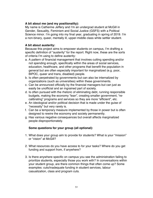### **A bit about me (and my positionality):**

My name is Catherine Jeffery and I'm an undergrad student at McGill in Gender, Sexuality, Feminism and Social Justice (GSFS) with a Political Science minor. I'm going into my final year, graduating in spring of 2019. I'm a non-binary, queer, mentally ill, upper-middle class white settler student.

### **A bit about austerity:**

Because this project aims to empower students on campus, I'm drafting a specific definition of "austerity" for the report. Right now, these are the sorts of criteria I'm using to define austerity:

- a. A pattern of financial management that involves cutting spending and/or not spending enough, specifically within the areas of social services, education, healthcare, and other programs that benefit the population in general but are often especially important for marginalized (e.g. poor, BIPOC, queer and trans, disabled) people.
- b. Is often perpetrated by governments but can also be internalized by organizations (such as universities) within these governments.
- c. Can be announced officially by the financial managers but can just as easily be unofficial and an ingrained part of society.
- d. Is often pursued with the rhetoric of eliminating debt, running responsible budgets, making the economy "lean", creating smaller government, "recalibrating" programs and services so they are more "efficient", etc.
- e. An ideological and/or political decision that is made under the guise of "necessity" but very rarely is.
- f. Can be a temporary measure implemented by those in power but is often designed to rewire the economy and society permanently.
- g. Has various negative consequences but overall affects marginalized people disproportionately.

### **Some questions for your group (all optional):**

- 1. What does your group aim to provide for students? What is your "mission" or "vision" at McGill?
- 2. What resources do you have access to for your tasks? Where do you get funding and support from, if anywhere?
- 3. Is there anywhere specific on campus you see the administration failing to prioritize students, especially those you work with? In conversations within your student group, are there common things that often come up? Some examples: cuts/inadequate funding in student services, labour casualization, class and program cuts.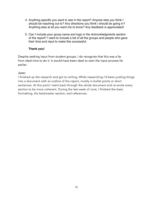- 4. Anything specific you want to see in the report? Anyone else you think I should be reaching out to? Any directions you think I should be going in? Anything else at all you want me to know? Any feedback is appreciated!
- 5. Can I include your group name and logo in the Acknowledgments section of the report? I want to include a list of all the groups and people who gave their time and input to make this successful.

### **Thank you!**

Despite seeking input from student groups, I do recognize that this was a far from ideal time to do it. It would have been ideal to start the input process far earlier.

### June:

I finished up the research and got to writing. While researching I'd been putting things into a document with an outline of the report, mostly in bullet points or short sentences. At this point I went back through the whole document and re-wrote every section to be more coherent. During the last week of June, I finished the basic formatting, the backmatter section, and references.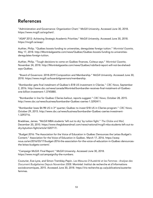# References

"Administration and Governance: Organization Chart." McGill University. Accessed June 30, 2018. https://www.mcgill.ca/orgchart/.

"ASAP 2012: Achieving Strategic Academic Priorities." McGill University. Accessed June 30, 2018. https://mcgill.ca/asap/.

Authier, Philip. "Québec boosts funding to universities, deregulates foreign tuition." *Montréal Gazette,*  May 17, 2018. http://Montréalgazette.com/news/Québec/Québec-boosts-funding-to-universitiesderegulates-foreign-tuition.

Authier, Philip. "Tough decisions to come on Québec finances, Coiteux says." *Montréal Gazette,*  November 24, 2018. http://Montréalgazette.com/news/Québec/robillard-report-will-not-be-shelvedsays-Québec.

"Board of Governors: 2018-2019 Composition and Membership." McGill University. Accessed June 30, 2018. https://www.mcgill.ca/boardofgovernors/membership.

"Bombardier gets final instalment of Québec's \$1B US investment in CSeries." *CBC News,* September 2, 2016. http://www.cbc.ca/news/canada/Montréal/bombardier-receives-final-instalment-of-Québecone-billion-investment-1.3745880.

"Bombardier in line for Québec CSeries bailout, reports suggest." *CBC News,* October 28, 2015. http://www.cbc.ca/news/business/bombardier-Québec-cseries-1.3292411.

"Bombardier loses \$4.9B US in 3rd quarter; Québec to invest \$1B US in CSeries program." *CBC News,*  October 29, 2015. http://www.cbc.ca/news/business/bombardier-Québec-cseries-investment-1.3293716.

Bradshaw, James. "McGill MBA students 'left out to dry' by tuition fight." *The Globe and Mail,*  December 20, 2010. https://www.theglobeandmail.com/news/national/mcgill-mba-students-left-out-todry-bytuition-fight/article1320717/.

"Budget 2016: The Association for the Voice of Education in Québec Denounces the Leitao Budget's Content." Association for the Voice of Education in Québec. March 17, 2016. https://aveqnous.ca/en/2016/03/17/budget-2016-the-association-for-the-voice-of-education-in-Québec-denouncesthe-leitao-budgets-content/.

"Campaign McGill: Final Report." McGill University. Accessed June 30, 2018. https://www.mcgill.ca/campaign/by-the-numbers.

Couturier, Eve-Lyne, and Simon Tremblay-Pepin. *Les Mesures D'Austérité et les Femmes : Analyse des Document Budgétaires Depuis November 2008.* Montréal: Institut de recherche et d'informations socioéconomiques, 2015. Accessed June 30, 2018. https://iris-recherche.qc.ca/publications/austeritefemmes.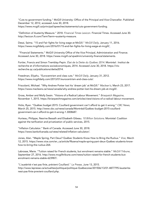"Cuts to government funding." McGill University: Office of the Principal and Vice-Chancellor. Published December 12, 2012, accessed June 30, 2018. https://www.mcgill.ca/principal/speeches/statements/cuts-government-funding.

"Definition of Austerity Measure." 2018. *Financial Times Lexicon.* Financial Times. Accessed June 30. http://lexicon.ft.com/Term?term=austerity-measure.

Desai, Saima. "15 and Fair fights for living wage at McGill." *McGill Daily,* January 11, 2016. https://www.mcgilldaily.com/2016/01/15-and-fair-fights-for-living-wage-at-mcgill/.

"Financial Statements." McGill University Office of the Vice Principal, Administration and Finance. Accessed June 30, 2018. https://www.mcgill.ca/vpadmin/university-finance/statements.

Fortier, Francis and Simon Tremblay-Pepin. *État de la Dette du Québec 2014.* Montréal : Institut de recherche et d'informations socioéconomiques, 2014. Accessed June 30, 2018. https://irisrecherche.qc.ca/publications/dette2014.

Freedman, Eliyahu. "Eurocentrism and class cuts." *McGill Daily,* January 31, 2012. https://www.mcgilldaily.com/2013/01/eurocentrism-and-class-cuts/.

Friscolanti, Michael. "Why Andrew Potter lost his 'dream job' at McGill." *Maclean's,* March 23, 2017. https://www.macleans.ca/news/canada/why-andrew-potter-lost-his-dream-job-at-mcgill/.

Gross, Amber and Molly Swain. "Visions of a Radical Labour Movement." *Briarpatch Magazine,*  November 1, 2015. https://briarpatchmagazine.com/articles/view/visions-of-a-radical-labour-movement.

Hicks, Ryan. "Québec budget 2015: Couillard government can't afford to get it wrong." *CBC News,*  March 25, 2015. http://www.cbc.ca/news/canada/Montréal/Québec-budget-2015-couillardgovernment-can-t-afford-to-get-it-wrong-1.3008687.

Hurteau, Philippe, Nesrine Bessaïh and Elisabeth Gibeau. *10 Billion Solutions*. Montréal: Coalition against the tarification and privatization of public services, 2015.

"Inflation Calculator." Bank of Canada. Accessed June 30, 2018. https://www.bankofcanada.ca/rates/related/inflation-calculator/.

Jones, Alan. "Maple Spring, Part Deux? Québec Students Know How to Bring the Ruckus." *Vice,* March 12, 2015. https://www.vice.com/en\_ca/article/9bzena/maple-spring-part-deux-Québec-students-knowhow-to-bring-the-ruckus-264.

Labrosse, Marie. "Tuition raised for French students, but enrolment remains stable." *McGill Tribune,*  September 27, 2016. http://www.mcgilltribune.com/news/tuition-raised-for-french-students-butenrolment-remains-stable-623987/.

"L'austérité n'est pas finie, prévient Couillard." *La Presse,* June 13, 2015. http://www.lapresse.ca/actualites/politique/politique-Québecoise/201506/13/01-4877795-lausteritenest-pas-finie-previent-couillard.php.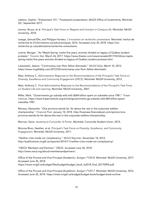Leblanc, Sophie. "Endowment 101." Powerpoint presentation, McGill Office of Investments, Montréal QC, September 2017.

Lennox, Bruce, et al. Principal's Task Force on Respect and Inclusion in Campus Life. Montréal: McGill University, 2018.

Lesage, Samuel-Élie, and Philippe Hurteau. *L'innovation en recherche universitaire.* Montréal: Institut de recherche et d'informations socioéconomiques, 2016. Accessed June 30, 2018. https://irisrecherche.qc.ca/publications/recherche-universitaire.

Lowrie, Morgan. "As 'Maple Spring' marks five years, activists divided on legacy of Québec student protests." *Toronto Star,* March 26, 2017. https://www.thestar.com/news/canada/2017/03/26/as-maplespring-marks-five-years-activists-divided-on-legacy-of-Québec-student-protests.html.

Lukawiecki, Jessica. "Controversy over floor fellow dismissals." *McGill Daily,* March 10, 2012. https://www.mcgilldaily.com/2012/03/controversy-over-floor-fellow-dismissals/.

Masi, Anthony C. *Administrative Response to the Recommendations of the Principal's Task Force on Diversity, Excellence and Community Engagement (DECE).* Montréal: McGill University, 2012.

Masi, Anthony C. *Final Administrative Response to the Recommendations of the Principal's Task Force on Student Life and Learning.* Montréal: McGill University, 2007.

Milke, Mark. "Governments go subsidy-wild with \$684 billion spent on subsidies since 1981." *Fraser Institute.* https://www.fraserinstitute.org/article/governments-go-subsidy-wild-684-billion-spentsubsidies-1981.

Moreau, Alexandre. "One province stands far, far above the rest in the corporate welfare championship." *Financial Post,* January 18, 2018. http://business.financialpost.com/opinion/oneprovince-stands-far-far-above-the-rest-in-the-corporate-welfare-championship.

Morrow, Gene. *Austerity at Concordia: A Primer.* Montréal: Concordia Student Union, 2015.

Munroe Blum, Heather, et al. *Principal's Task Force on Diversity, Excellence, and Community Engagement.* Montréal: McGill University, 2011.

"Neither crisis mode nor complacency." *McGill Reporter,* November 18, 2014. http://publications.mcgill.ca/reporter/2014/11/neither-crisis-mode-nor-complacency/.

"OECD: Members and Partners." OECD. Accessed June 30, 2018. http://www.oecd.org/about/membersandpartners/.

Office of the Provost and Vice-Principal (Academic). *Budget: FY2018.* Montréal: McGill University, 2017. Accessed June 30, 2018.

https://www.mcgill.ca/budget/files/budget/budget\_book\_fy2018\_final\_20170905.pdf.

Office of the Provost and Vice-Principal (Academic). *Budget: FY2017.* Montréal: McGill University, 2016. Accessed June 30, 2018. https://www.mcgill.ca/budget/budget-book/budget-book-archive.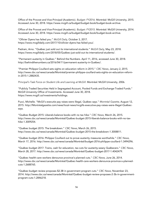Office of the Provost and Vice-Principal (Academic). *Budget: FY2016.* Montréal: McGill University, 2015. Accessed June 30, 2018. https://www.mcgill.ca/budget/budget-book/budget-book-archive.

Office of the Provost and Vice-Principal (Academic). *Budget: FY2015.* Montréal: McGill University, 2014. Accessed June 30, 2018. https://www.mcgill.ca/budget/budget-book/budget-book-archive.

"Ollivier Dyens has failed you." *McGill Daily,* October 3, 2017. https://www.mcgilldaily.com/2017/10/ollivier-dyens-has-failed-you/.

Pedram, Arno. "Québec just sold out its international students." *McGill Daily,* May 23, 2018. https://www.mcgilldaily.com/2018/05/Québec-just-sold-out-its-international-students/.

"Permanent austerity in Québec." Behind the Numbers. April 11, 2016, accessed June 30, 2018. http://behindthenumbers.ca/2016/04/11/permanent-austerity-in-Québec/.

"Premier Philippe Couillard sets sights on education reform in 2015." *CBC News,* January 2, 2015. http://www.cbc.ca/news/canada/Montréal/premier-philippe-couillard-sets-sights-on-education-reformin-2015-1.2882435.

*Principal's Task Force on Student Life and Learning at McGill.* Montréal: McGill University, 2006.

"Publicly Traded Securities Held in Segregated Account, Pooled Funds and Exchange-Traded Funds." McGill University Office of Investments. Accessed June 30, 2018. https://www.mcgill.ca/investments/holdings.

Pucci, Michelle. "McGil's executie pay raises were illegal, Québec says." *Montréal Gazette,* August 12, 2015. http://Montréalgazette.com/news/local-news/mcgills-executive-pay-raises-were-illegal-Québecsays.

"Québec Budget 2015: Liberals balance books with no tax hike." *CBC News,* March 26, 2015. http://www.cbc.ca/news/canada/Montréal/Québec-budget-2015-liberals-balance-books-with-no-taxhike-1.3009254.

"Québec budget 2015: The breakdown." *CBC News,* March 26, 2015. http://www.cbc.ca/news/canada/Montréal/Québec-budget-2015-the-breakdown-1.3008811.

"Québec budget 2016: Philippe Couillard out to prove austerity measures worthwhile." *CBC News,*  March 17, 2016. http://www.cbc.ca/news/canada/Montréal/budget-2016-philippe-couillard-1.3494296.

"Québec budget 2017: Trains, cash for education, tax cuts for austerity-weary Québecers." *CBC News*, March 28, 2017. http://www.cbc.ca/news/canada/Montréal/Québec-budget-2017-1.4042479.

"Québec health-care workers denounce province's planned cuts." *CBC News,* June 26, 2014. http://www.cbc.ca/news/canada/Montréal/Québec-health-care-workers-denounce-province-s-plannedcuts-1.2688765.

"Québec budget review proposes \$2.3B in government program cuts." *CBC News,* November 23, 2014. http://www.cbc.ca/news/canada/Montréal/Québec-budget-review-proposes-2-3b-in-governmentprogram-cuts-1.2846218.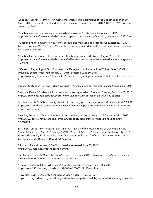Québec, National Assembly. "An Act to implement certain provisions of the Budget Speech of 30 March 2010, reduce the debt and return to a balanced budget in 2013-2014." Bill 100, 39th Legislature, 1st session, 2010.

"Québec outlines new financing for subsidized daycares." *CBC News*, February 23, 2016. http://www.cbc.ca/news/canada/Montréal/aqcpe-reaches-deal-with-Québec-government-1.3459666.

"Québec's finance minister on austerity, tax cuts and marijuana as a 'dangerous substance.'" *CBC News*, November 22, 2017. http://www.cbc.ca/news/canada/Montréal/Québec-tax-cuts-carlos-leitaomarijuana-1.4413665.

"Québec teachers sound alarm over education budget cuts." *CBC News,* August 25, 2014. http://www.cbc.ca/news/canada/Montréal/Québec-teachers-sound-alarm-over-education-budget-cuts-1.2745751.

"Question Regarding McGill's Stance on the Deregulation of International Tuition Fees." McGill University Senate. Published January 21, 2015, accessed June 30, 2018. http://www.mcgill.ca/senate/files/senate/2.\_question\_regarding\_international\_tuition\_with\_response.pd f.

Ragan, Christopher T.S., and Richard G. Lipsey. *Macroeconomics.* Toronto: Pearson Canada Inc., 2011.

Seidman, Karen. "Québec audit zeroes in on university salaries." *Montréal Gazette,* February 25, 2016. http://Montréalgazette.com/news/local-news/Québec-audit-zeroes-in-on-university-salaries

Serebrin, Jacob. "Québec moving ahead with university governance reform." *Maclean's,* April 12, 2011. https://www.macleans.ca/education/university/Québec-appears-to-be-moving-ahead-with-universitygovernance-reform/.

Shingler, Benjamin. "Québec student protests: What you need to know." *CBC News,* April 2, 2015. http://www.cbc.ca/news/canada/Montréal/Québec-student-protests-what-you-need-to-know-1.3018153.

St. Amour, Leslie Anne. *A Seat at the Table: An Analysis of the McGill Board of Governors by the Students' Society of McGill University (SSMU).* Montréal: Students' Society of McGill University, 2016. Accessed June 30, 2018. https://ssmu.ca/wp-content/uploads/2016/11/McGill-University-Board-of-Governors-SSMU-Research-Report.pdf?x26516.

"Student Life and Learning." McGill University. Accessed June 30, 2018. https://www.mcgill.ca/studentlifeandlearning/.

Sub Media. *Solidarity Means Tabernak!* Video, 15 minutes, 2015. https://sub.media/video/solidaritymeans-tabarnak-Québec-students-strike-capitalism/.

"Tuition fee deregulation: Who pays?" Statistics Canada. Accessed June 30, 2018. https://www150.statcan.gc.ca/n1/pub/81-004-x/2006001/9183-eng.htm.

TVO. *Mark Blyth: Is Austerity a Dangerous Idea?* Video, 17:58, 2013. https://tvo.org/video/programs/the-agenda-with-steve-paikin/mark-blyth-is-austerity-a-dangerous-idea.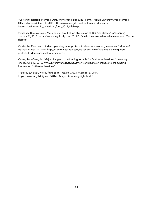"University-Related Internship Activity Internship Behaviour Form." McGill University Arts Internship Office. Accessed June 30, 2018. https://www.mcgill.ca/arts-internships/files/artsinternships/internship\_behaviour\_form\_2018\_fillable.pdf.

Velasquez-Buritica, Juan. "AUS holds Town Hall on elimination of 100 Arts classes." *McGill Daily,*  January 24, 2013. https://www.mcgilldaily.com/2013/01/aus-holds-town-hall-on-elimination-of-100-artsclasses/.

Vendeville, Geoffrey. "Students planning more protests to denounce austerity measures." *Montréal Gazette,* March 14, 2015. http://Montréalgazette.com/news/local-news/students-planning-moreprotests-to-denounce-austerity-measures.

Venne, Jean-François. "Major changes to the funding formula for Québec universities." *University Affairs,* June 19, 2018. www.universityaffairs.ca/news/news-article/major-changes-to-the-fundingformula-for-Québec-universities/.

"You say cut back, we say fight back." *McGill Daily,* November 3, 2014. https://www.mcgilldaily.com/2014/11/say-cut-back-say-fight-back/.